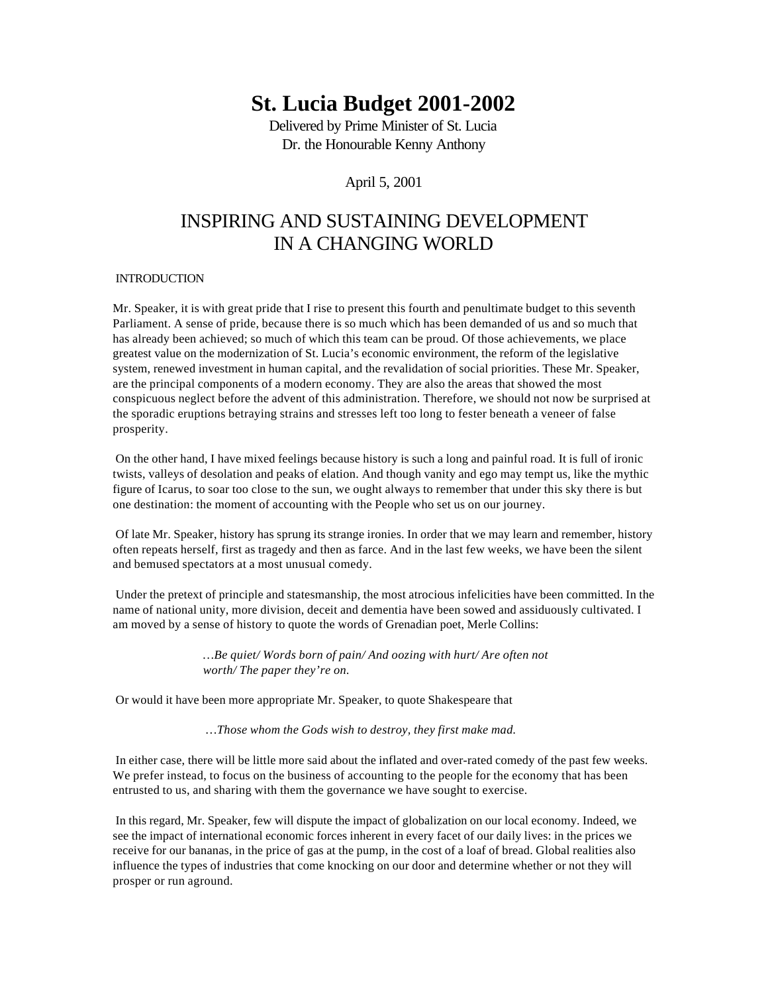# **St. Lucia Budget 2001-2002**

Delivered by Prime Minister of St. Lucia Dr. the Honourable Kenny Anthony

April 5, 2001

# INSPIRING AND SUSTAINING DEVELOPMENT IN A CHANGING WORLD

# INTRODUCTION

Mr. Speaker, it is with great pride that I rise to present this fourth and penultimate budget to this seventh Parliament. A sense of pride, because there is so much which has been demanded of us and so much that has already been achieved; so much of which this team can be proud. Of those achievements, we place greatest value on the modernization of St. Lucia's economic environment, the reform of the legislative system, renewed investment in human capital, and the revalidation of social priorities. These Mr. Speaker, are the principal components of a modern economy. They are also the areas that showed the most conspicuous neglect before the advent of this administration. Therefore, we should not now be surprised at the sporadic eruptions betraying strains and stresses left too long to fester beneath a veneer of false prosperity.

 On the other hand, I have mixed feelings because history is such a long and painful road. It is full of ironic twists, valleys of desolation and peaks of elation. And though vanity and ego may tempt us, like the mythic figure of Icarus, to soar too close to the sun, we ought always to remember that under this sky there is but one destination: the moment of accounting with the People who set us on our journey.

 Of late Mr. Speaker, history has sprung its strange ironies. In order that we may learn and remember, history often repeats herself, first as tragedy and then as farce. And in the last few weeks, we have been the silent and bemused spectators at a most unusual comedy.

 Under the pretext of principle and statesmanship, the most atrocious infelicities have been committed. In the name of national unity, more division, deceit and dementia have been sowed and assiduously cultivated. I am moved by a sense of history to quote the words of Grenadian poet, Merle Collins:

> *…Be quiet/ Words born of pain/ And oozing with hurt/ Are often not worth/ The paper they're on.*

Or would it have been more appropriate Mr. Speaker, to quote Shakespeare that

*…Those whom the Gods wish to destroy, they first make mad.*

 In either case, there will be little more said about the inflated and over-rated comedy of the past few weeks. We prefer instead, to focus on the business of accounting to the people for the economy that has been entrusted to us, and sharing with them the governance we have sought to exercise.

 In this regard, Mr. Speaker, few will dispute the impact of globalization on our local economy. Indeed, we see the impact of international economic forces inherent in every facet of our daily lives: in the prices we receive for our bananas, in the price of gas at the pump, in the cost of a loaf of bread. Global realities also influence the types of industries that come knocking on our door and determine whether or not they will prosper or run aground.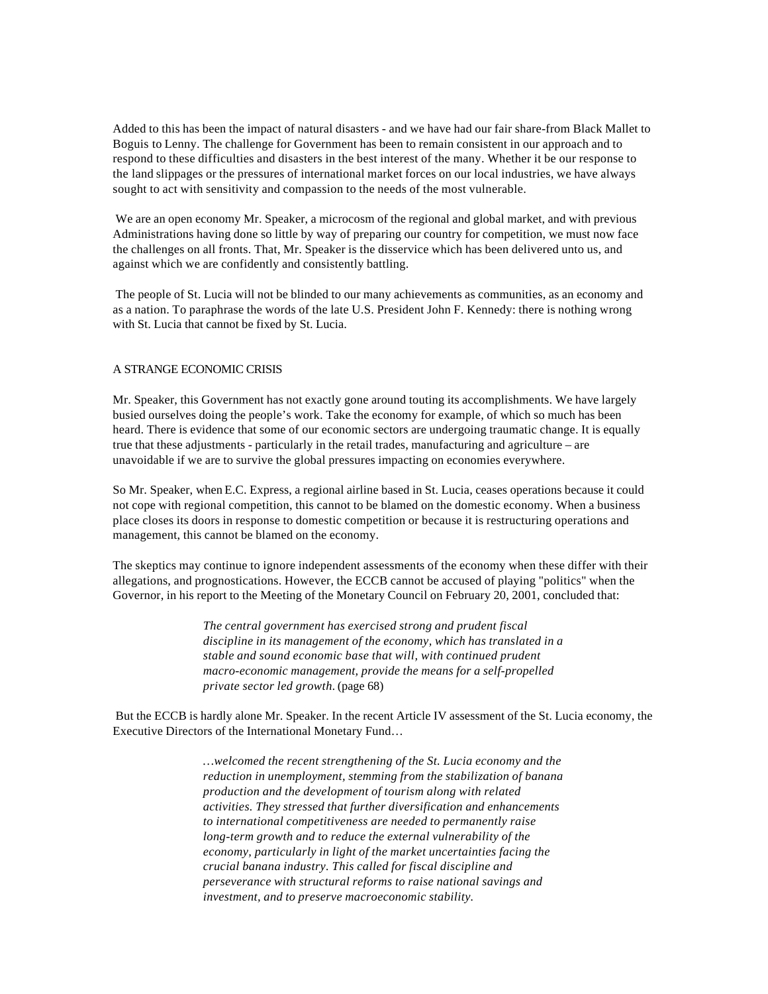Added to this has been the impact of natural disasters - and we have had our fair share-from Black Mallet to Boguis to Lenny. The challenge for Government has been to remain consistent in our approach and to respond to these difficulties and disasters in the best interest of the many. Whether it be our response to the land slippages or the pressures of international market forces on our local industries, we have always sought to act with sensitivity and compassion to the needs of the most vulnerable.

We are an open economy Mr. Speaker, a microcosm of the regional and global market, and with previous Administrations having done so little by way of preparing our country for competition, we must now face the challenges on all fronts. That, Mr. Speaker is the disservice which has been delivered unto us, and against which we are confidently and consistently battling.

 The people of St. Lucia will not be blinded to our many achievements as communities, as an economy and as a nation. To paraphrase the words of the late U.S. President John F. Kennedy: there is nothing wrong with St. Lucia that cannot be fixed by St. Lucia.

# A STRANGE ECONOMIC CRISIS

Mr. Speaker, this Government has not exactly gone around touting its accomplishments. We have largely busied ourselves doing the people's work. Take the economy for example, of which so much has been heard. There is evidence that some of our economic sectors are undergoing traumatic change. It is equally true that these adjustments - particularly in the retail trades, manufacturing and agriculture – are unavoidable if we are to survive the global pressures impacting on economies everywhere.

So Mr. Speaker, when E.C. Express, a regional airline based in St. Lucia, ceases operations because it could not cope with regional competition, this cannot to be blamed on the domestic economy. When a business place closes its doors in response to domestic competition or because it is restructuring operations and management, this cannot be blamed on the economy.

The skeptics may continue to ignore independent assessments of the economy when these differ with their allegations, and prognostications. However, the ECCB cannot be accused of playing "politics" when the Governor, in his report to the Meeting of the Monetary Council on February 20, 2001, concluded that:

> *The central government has exercised strong and prudent fiscal discipline in its management of the economy, which has translated in a stable and sound economic base that will, with continued prudent macro-economic management, provide the means for a self-propelled private sector led growth.* (page 68)

 But the ECCB is hardly alone Mr. Speaker. In the recent Article IV assessment of the St. Lucia economy, the Executive Directors of the International Monetary Fund…

> *…welcomed the recent strengthening of the St. Lucia economy and the reduction in unemployment, stemming from the stabilization of banana production and the development of tourism along with related activities. They stressed that further diversification and enhancements to international competitiveness are needed to permanently raise long-term growth and to reduce the external vulnerability of the economy, particularly in light of the market uncertainties facing the crucial banana industry. This called for fiscal discipline and perseverance with structural reforms to raise national savings and investment, and to preserve macroeconomic stability.*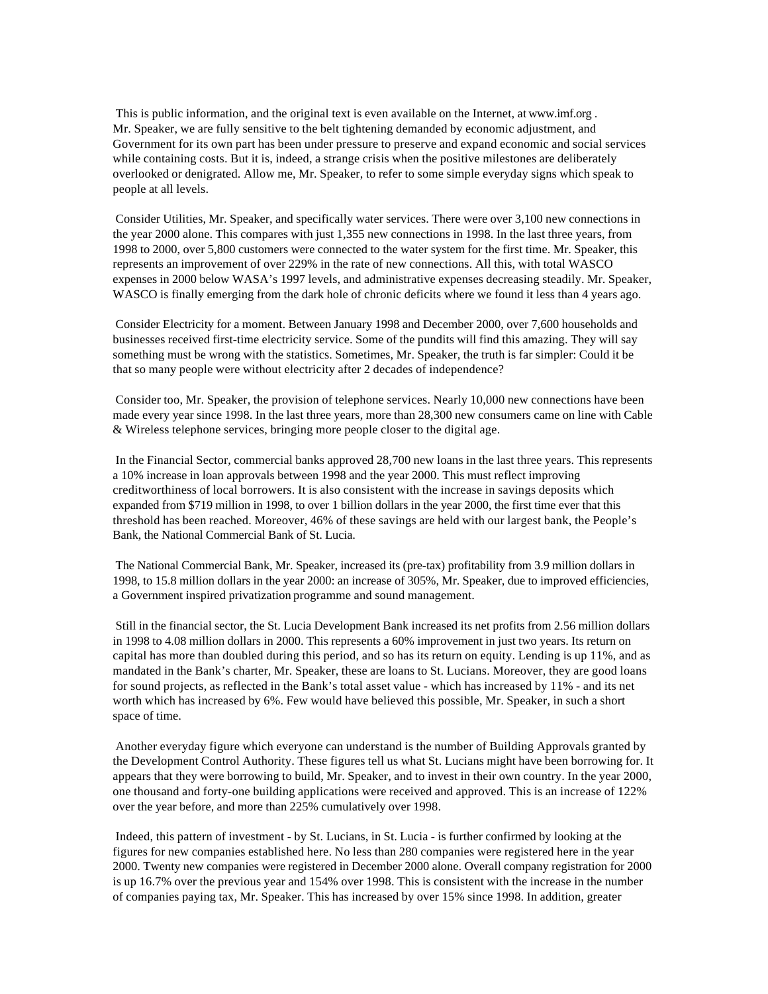This is public information, and the original text is even available on the Internet, at www.imf.org . Mr. Speaker, we are fully sensitive to the belt tightening demanded by economic adjustment, and Government for its own part has been under pressure to preserve and expand economic and social services while containing costs. But it is, indeed, a strange crisis when the positive milestones are deliberately overlooked or denigrated. Allow me, Mr. Speaker, to refer to some simple everyday signs which speak to people at all levels.

 Consider Utilities, Mr. Speaker, and specifically water services. There were over 3,100 new connections in the year 2000 alone. This compares with just 1,355 new connections in 1998. In the last three years, from 1998 to 2000, over 5,800 customers were connected to the water system for the first time. Mr. Speaker, this represents an improvement of over 229% in the rate of new connections. All this, with total WASCO expenses in 2000 below WASA's 1997 levels, and administrative expenses decreasing steadily. Mr. Speaker, WASCO is finally emerging from the dark hole of chronic deficits where we found it less than 4 years ago.

 Consider Electricity for a moment. Between January 1998 and December 2000, over 7,600 households and businesses received first-time electricity service. Some of the pundits will find this amazing. They will say something must be wrong with the statistics. Sometimes, Mr. Speaker, the truth is far simpler: Could it be that so many people were without electricity after 2 decades of independence?

 Consider too, Mr. Speaker, the provision of telephone services. Nearly 10,000 new connections have been made every year since 1998. In the last three years, more than 28,300 new consumers came on line with Cable & Wireless telephone services, bringing more people closer to the digital age.

 In the Financial Sector, commercial banks approved 28,700 new loans in the last three years. This represents a 10% increase in loan approvals between 1998 and the year 2000. This must reflect improving creditworthiness of local borrowers. It is also consistent with the increase in savings deposits which expanded from \$719 million in 1998, to over 1 billion dollars in the year 2000, the first time ever that this threshold has been reached. Moreover, 46% of these savings are held with our largest bank, the People's Bank, the National Commercial Bank of St. Lucia.

 The National Commercial Bank, Mr. Speaker, increased its (pre-tax) profitability from 3.9 million dollars in 1998, to 15.8 million dollars in the year 2000: an increase of 305%, Mr. Speaker, due to improved efficiencies, a Government inspired privatization programme and sound management.

 Still in the financial sector, the St. Lucia Development Bank increased its net profits from 2.56 million dollars in 1998 to 4.08 million dollars in 2000. This represents a 60% improvement in just two years. Its return on capital has more than doubled during this period, and so has its return on equity. Lending is up 11%, and as mandated in the Bank's charter, Mr. Speaker, these are loans to St. Lucians. Moreover, they are good loans for sound projects, as reflected in the Bank's total asset value - which has increased by 11% - and its net worth which has increased by 6%. Few would have believed this possible, Mr. Speaker, in such a short space of time.

 Another everyday figure which everyone can understand is the number of Building Approvals granted by the Development Control Authority. These figures tell us what St. Lucians might have been borrowing for. It appears that they were borrowing to build, Mr. Speaker, and to invest in their own country. In the year 2000, one thousand and forty-one building applications were received and approved. This is an increase of 122% over the year before, and more than 225% cumulatively over 1998.

 Indeed, this pattern of investment - by St. Lucians, in St. Lucia - is further confirmed by looking at the figures for new companies established here. No less than 280 companies were registered here in the year 2000. Twenty new companies were registered in December 2000 alone. Overall company registration for 2000 is up 16.7% over the previous year and 154% over 1998. This is consistent with the increase in the number of companies paying tax, Mr. Speaker. This has increased by over 15% since 1998. In addition, greater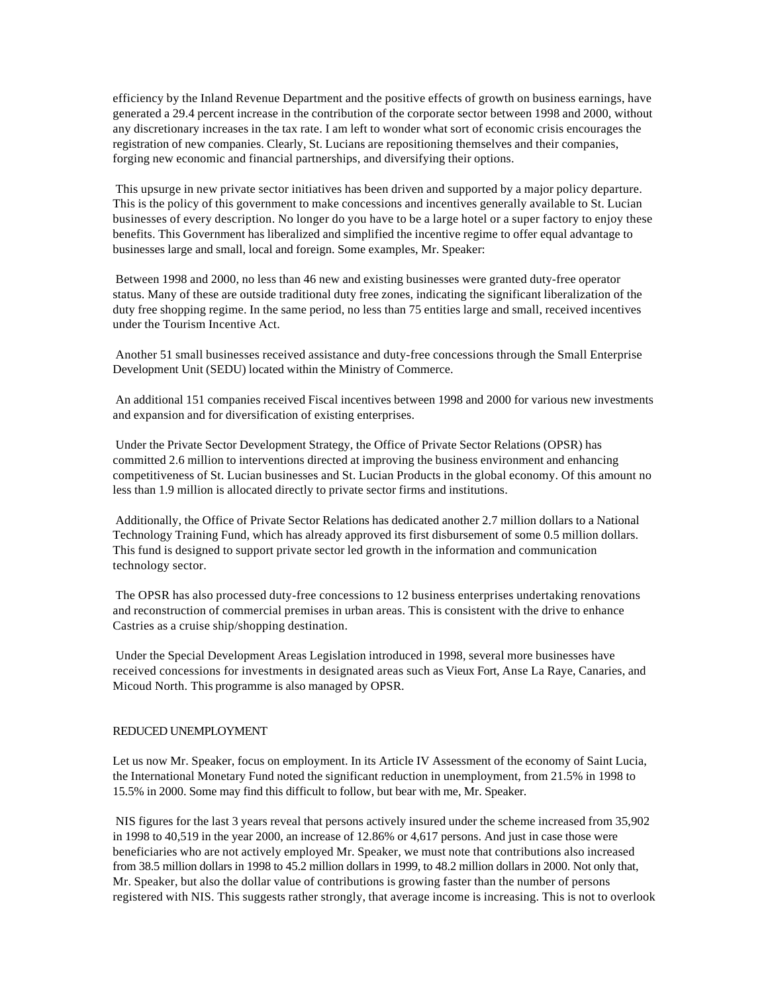efficiency by the Inland Revenue Department and the positive effects of growth on business earnings, have generated a 29.4 percent increase in the contribution of the corporate sector between 1998 and 2000, without any discretionary increases in the tax rate. I am left to wonder what sort of economic crisis encourages the registration of new companies. Clearly, St. Lucians are repositioning themselves and their companies, forging new economic and financial partnerships, and diversifying their options.

 This upsurge in new private sector initiatives has been driven and supported by a major policy departure. This is the policy of this government to make concessions and incentives generally available to St. Lucian businesses of every description. No longer do you have to be a large hotel or a super factory to enjoy these benefits. This Government has liberalized and simplified the incentive regime to offer equal advantage to businesses large and small, local and foreign. Some examples, Mr. Speaker:

 Between 1998 and 2000, no less than 46 new and existing businesses were granted duty-free operator status. Many of these are outside traditional duty free zones, indicating the significant liberalization of the duty free shopping regime. In the same period, no less than 75 entities large and small, received incentives under the Tourism Incentive Act.

 Another 51 small businesses received assistance and duty-free concessions through the Small Enterprise Development Unit (SEDU) located within the Ministry of Commerce.

 An additional 151 companies received Fiscal incentives between 1998 and 2000 for various new investments and expansion and for diversification of existing enterprises.

 Under the Private Sector Development Strategy, the Office of Private Sector Relations (OPSR) has committed 2.6 million to interventions directed at improving the business environment and enhancing competitiveness of St. Lucian businesses and St. Lucian Products in the global economy. Of this amount no less than 1.9 million is allocated directly to private sector firms and institutions.

 Additionally, the Office of Private Sector Relations has dedicated another 2.7 million dollars to a National Technology Training Fund, which has already approved its first disbursement of some 0.5 million dollars. This fund is designed to support private sector led growth in the information and communication technology sector.

 The OPSR has also processed duty-free concessions to 12 business enterprises undertaking renovations and reconstruction of commercial premises in urban areas. This is consistent with the drive to enhance Castries as a cruise ship/shopping destination.

 Under the Special Development Areas Legislation introduced in 1998, several more businesses have received concessions for investments in designated areas such as Vieux Fort, Anse La Raye, Canaries, and Micoud North. This programme is also managed by OPSR.

#### REDUCED UNEMPLOYMENT

Let us now Mr. Speaker, focus on employment. In its Article IV Assessment of the economy of Saint Lucia, the International Monetary Fund noted the significant reduction in unemployment, from 21.5% in 1998 to 15.5% in 2000. Some may find this difficult to follow, but bear with me, Mr. Speaker.

 NIS figures for the last 3 years reveal that persons actively insured under the scheme increased from 35,902 in 1998 to 40,519 in the year 2000, an increase of 12.86% or 4,617 persons. And just in case those were beneficiaries who are not actively employed Mr. Speaker, we must note that contributions also increased from 38.5 million dollars in 1998 to 45.2 million dollars in 1999, to 48.2 million dollars in 2000. Not only that, Mr. Speaker, but also the dollar value of contributions is growing faster than the number of persons registered with NIS. This suggests rather strongly, that average income is increasing. This is not to overlook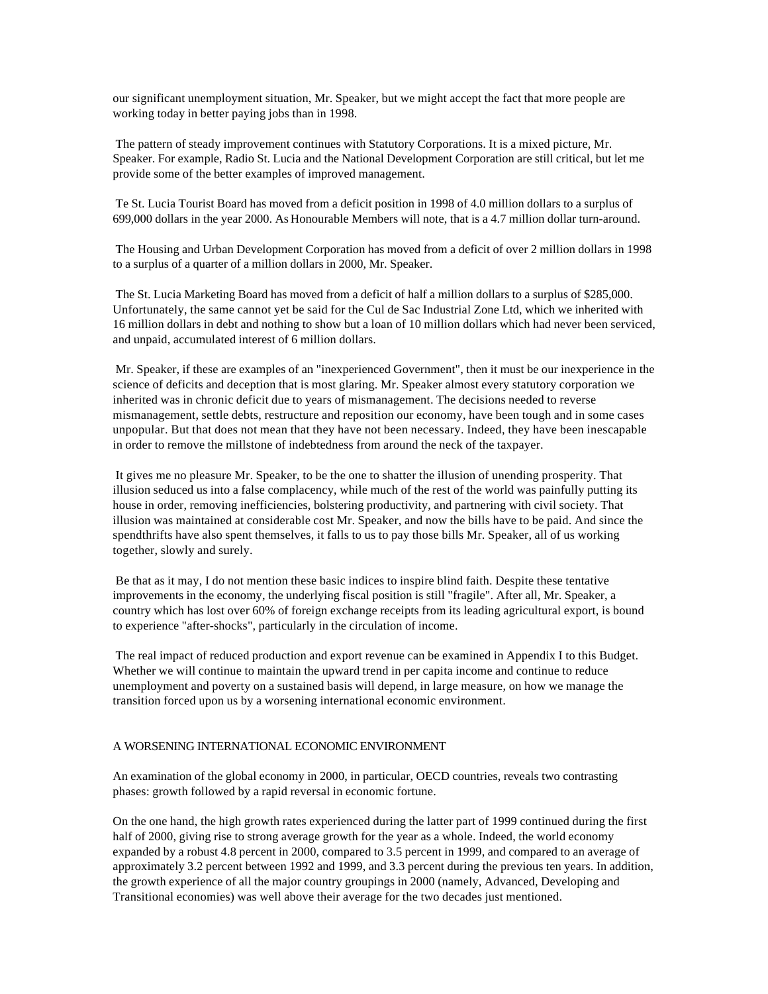our significant unemployment situation, Mr. Speaker, but we might accept the fact that more people are working today in better paying jobs than in 1998.

 The pattern of steady improvement continues with Statutory Corporations. It is a mixed picture, Mr. Speaker. For example, Radio St. Lucia and the National Development Corporation are still critical, but let me provide some of the better examples of improved management.

Te St. Lucia Tourist Board has moved from a deficit position in 1998 of 4.0 million dollars to a surplus of 699,000 dollars in the year 2000. As Honourable Members will note, that is a 4.7 million dollar turn-around.

 The Housing and Urban Development Corporation has moved from a deficit of over 2 million dollars in 1998 to a surplus of a quarter of a million dollars in 2000, Mr. Speaker.

 The St. Lucia Marketing Board has moved from a deficit of half a million dollars to a surplus of \$285,000. Unfortunately, the same cannot yet be said for the Cul de Sac Industrial Zone Ltd, which we inherited with 16 million dollars in debt and nothing to show but a loan of 10 million dollars which had never been serviced, and unpaid, accumulated interest of 6 million dollars.

 Mr. Speaker, if these are examples of an "inexperienced Government", then it must be our inexperience in the science of deficits and deception that is most glaring. Mr. Speaker almost every statutory corporation we inherited was in chronic deficit due to years of mismanagement. The decisions needed to reverse mismanagement, settle debts, restructure and reposition our economy, have been tough and in some cases unpopular. But that does not mean that they have not been necessary. Indeed, they have been inescapable in order to remove the millstone of indebtedness from around the neck of the taxpayer.

 It gives me no pleasure Mr. Speaker, to be the one to shatter the illusion of unending prosperity. That illusion seduced us into a false complacency, while much of the rest of the world was painfully putting its house in order, removing inefficiencies, bolstering productivity, and partnering with civil society. That illusion was maintained at considerable cost Mr. Speaker, and now the bills have to be paid. And since the spendthrifts have also spent themselves, it falls to us to pay those bills Mr. Speaker, all of us working together, slowly and surely.

 Be that as it may, I do not mention these basic indices to inspire blind faith. Despite these tentative improvements in the economy, the underlying fiscal position is still "fragile". After all, Mr. Speaker, a country which has lost over 60% of foreign exchange receipts from its leading agricultural export, is bound to experience "after-shocks", particularly in the circulation of income.

 The real impact of reduced production and export revenue can be examined in Appendix I to this Budget. Whether we will continue to maintain the upward trend in per capita income and continue to reduce unemployment and poverty on a sustained basis will depend, in large measure, on how we manage the transition forced upon us by a worsening international economic environment.

# A WORSENING INTERNATIONAL ECONOMIC ENVIRONMENT

An examination of the global economy in 2000, in particular, OECD countries, reveals two contrasting phases: growth followed by a rapid reversal in economic fortune.

On the one hand, the high growth rates experienced during the latter part of 1999 continued during the first half of 2000, giving rise to strong average growth for the year as a whole. Indeed, the world economy expanded by a robust 4.8 percent in 2000, compared to 3.5 percent in 1999, and compared to an average of approximately 3.2 percent between 1992 and 1999, and 3.3 percent during the previous ten years. In addition, the growth experience of all the major country groupings in 2000 (namely, Advanced, Developing and Transitional economies) was well above their average for the two decades just mentioned.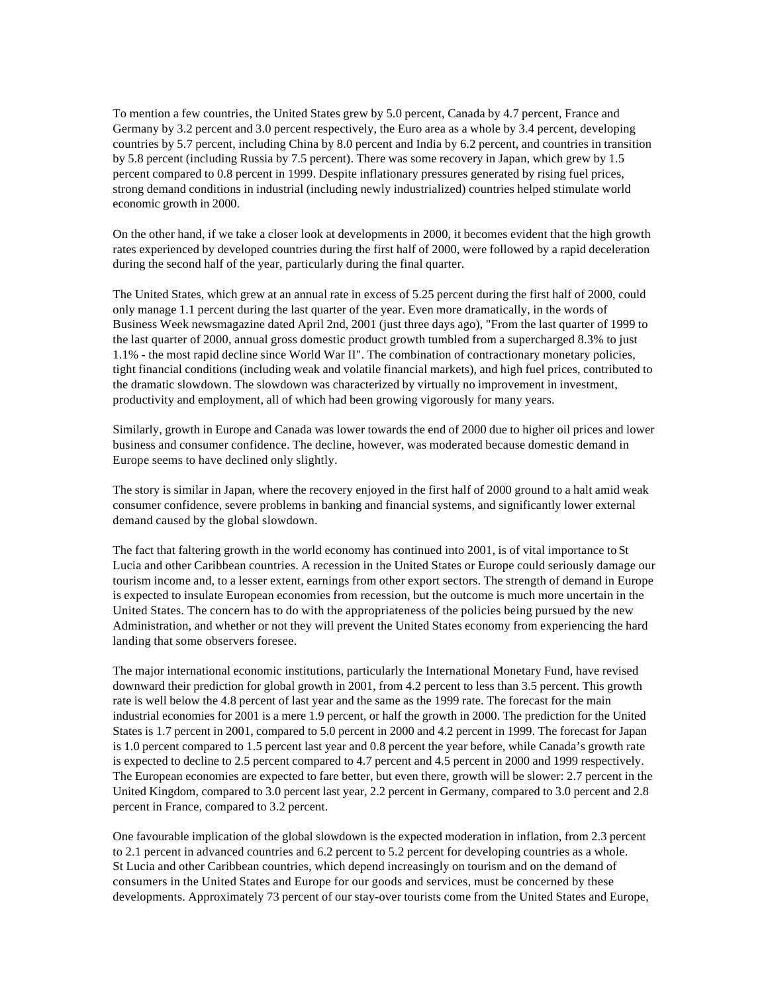To mention a few countries, the United States grew by 5.0 percent, Canada by 4.7 percent, France and Germany by 3.2 percent and 3.0 percent respectively, the Euro area as a whole by 3.4 percent, developing countries by 5.7 percent, including China by 8.0 percent and India by 6.2 percent, and countries in transition by 5.8 percent (including Russia by 7.5 percent). There was some recovery in Japan, which grew by 1.5 percent compared to 0.8 percent in 1999. Despite inflationary pressures generated by rising fuel prices, strong demand conditions in industrial (including newly industrialized) countries helped stimulate world economic growth in 2000.

On the other hand, if we take a closer look at developments in 2000, it becomes evident that the high growth rates experienced by developed countries during the first half of 2000, were followed by a rapid deceleration during the second half of the year, particularly during the final quarter.

The United States, which grew at an annual rate in excess of 5.25 percent during the first half of 2000, could only manage 1.1 percent during the last quarter of the year. Even more dramatically, in the words of Business Week newsmagazine dated April 2nd, 2001 (just three days ago), "From the last quarter of 1999 to the last quarter of 2000, annual gross domestic product growth tumbled from a supercharged 8.3% to just 1.1% - the most rapid decline since World War II". The combination of contractionary monetary policies, tight financial conditions (including weak and volatile financial markets), and high fuel prices, contributed to the dramatic slowdown. The slowdown was characterized by virtually no improvement in investment, productivity and employment, all of which had been growing vigorously for many years.

Similarly, growth in Europe and Canada was lower towards the end of 2000 due to higher oil prices and lower business and consumer confidence. The decline, however, was moderated because domestic demand in Europe seems to have declined only slightly.

The story is similar in Japan, where the recovery enjoyed in the first half of 2000 ground to a halt amid weak consumer confidence, severe problems in banking and financial systems, and significantly lower external demand caused by the global slowdown.

The fact that faltering growth in the world economy has continued into 2001, is of vital importance to St Lucia and other Caribbean countries. A recession in the United States or Europe could seriously damage our tourism income and, to a lesser extent, earnings from other export sectors. The strength of demand in Europe is expected to insulate European economies from recession, but the outcome is much more uncertain in the United States. The concern has to do with the appropriateness of the policies being pursued by the new Administration, and whether or not they will prevent the United States economy from experiencing the hard landing that some observers foresee.

The major international economic institutions, particularly the International Monetary Fund, have revised downward their prediction for global growth in 2001, from 4.2 percent to less than 3.5 percent. This growth rate is well below the 4.8 percent of last year and the same as the 1999 rate. The forecast for the main industrial economies for 2001 is a mere 1.9 percent, or half the growth in 2000. The prediction for the United States is 1.7 percent in 2001, compared to 5.0 percent in 2000 and 4.2 percent in 1999. The forecast for Japan is 1.0 percent compared to 1.5 percent last year and 0.8 percent the year before, while Canada's growth rate is expected to decline to 2.5 percent compared to 4.7 percent and 4.5 percent in 2000 and 1999 respectively. The European economies are expected to fare better, but even there, growth will be slower: 2.7 percent in the United Kingdom, compared to 3.0 percent last year, 2.2 percent in Germany, compared to 3.0 percent and 2.8 percent in France, compared to 3.2 percent.

One favourable implication of the global slowdown is the expected moderation in inflation, from 2.3 percent to 2.1 percent in advanced countries and 6.2 percent to 5.2 percent for developing countries as a whole. St Lucia and other Caribbean countries, which depend increasingly on tourism and on the demand of consumers in the United States and Europe for our goods and services, must be concerned by these developments. Approximately 73 percent of our stay-over tourists come from the United States and Europe,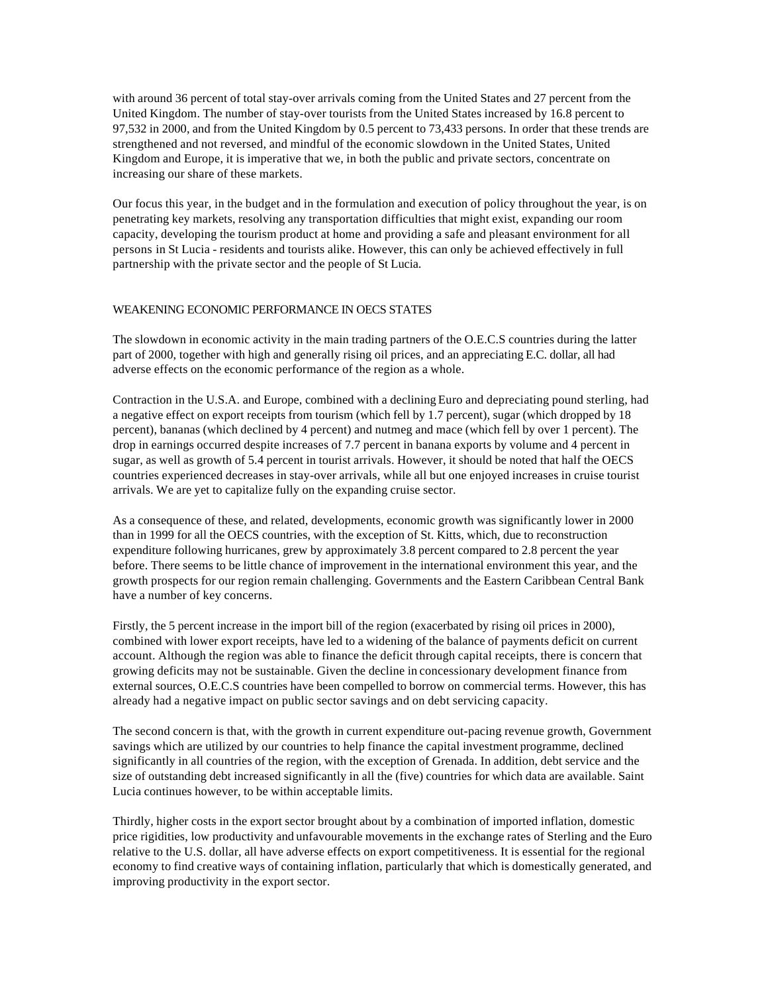with around 36 percent of total stay-over arrivals coming from the United States and 27 percent from the United Kingdom. The number of stay-over tourists from the United States increased by 16.8 percent to 97,532 in 2000, and from the United Kingdom by 0.5 percent to 73,433 persons. In order that these trends are strengthened and not reversed, and mindful of the economic slowdown in the United States, United Kingdom and Europe, it is imperative that we, in both the public and private sectors, concentrate on increasing our share of these markets.

Our focus this year, in the budget and in the formulation and execution of policy throughout the year, is on penetrating key markets, resolving any transportation difficulties that might exist, expanding our room capacity, developing the tourism product at home and providing a safe and pleasant environment for all persons in St Lucia - residents and tourists alike. However, this can only be achieved effectively in full partnership with the private sector and the people of St Lucia.

## WEAKENING ECONOMIC PERFORMANCE IN OECS STATES

The slowdown in economic activity in the main trading partners of the O.E.C.S countries during the latter part of 2000, together with high and generally rising oil prices, and an appreciating E.C. dollar, all had adverse effects on the economic performance of the region as a whole.

Contraction in the U.S.A. and Europe, combined with a declining Euro and depreciating pound sterling, had a negative effect on export receipts from tourism (which fell by 1.7 percent), sugar (which dropped by 18 percent), bananas (which declined by 4 percent) and nutmeg and mace (which fell by over 1 percent). The drop in earnings occurred despite increases of 7.7 percent in banana exports by volume and 4 percent in sugar, as well as growth of 5.4 percent in tourist arrivals. However, it should be noted that half the OECS countries experienced decreases in stay-over arrivals, while all but one enjoyed increases in cruise tourist arrivals. We are yet to capitalize fully on the expanding cruise sector.

As a consequence of these, and related, developments, economic growth was significantly lower in 2000 than in 1999 for all the OECS countries, with the exception of St. Kitts, which, due to reconstruction expenditure following hurricanes, grew by approximately 3.8 percent compared to 2.8 percent the year before. There seems to be little chance of improvement in the international environment this year, and the growth prospects for our region remain challenging. Governments and the Eastern Caribbean Central Bank have a number of key concerns.

Firstly, the 5 percent increase in the import bill of the region (exacerbated by rising oil prices in 2000), combined with lower export receipts, have led to a widening of the balance of payments deficit on current account. Although the region was able to finance the deficit through capital receipts, there is concern that growing deficits may not be sustainable. Given the decline in concessionary development finance from external sources, O.E.C.S countries have been compelled to borrow on commercial terms. However, this has already had a negative impact on public sector savings and on debt servicing capacity.

The second concern is that, with the growth in current expenditure out-pacing revenue growth, Government savings which are utilized by our countries to help finance the capital investment programme, declined significantly in all countries of the region, with the exception of Grenada. In addition, debt service and the size of outstanding debt increased significantly in all the (five) countries for which data are available. Saint Lucia continues however, to be within acceptable limits.

Thirdly, higher costs in the export sector brought about by a combination of imported inflation, domestic price rigidities, low productivity and unfavourable movements in the exchange rates of Sterling and the Euro relative to the U.S. dollar, all have adverse effects on export competitiveness. It is essential for the regional economy to find creative ways of containing inflation, particularly that which is domestically generated, and improving productivity in the export sector.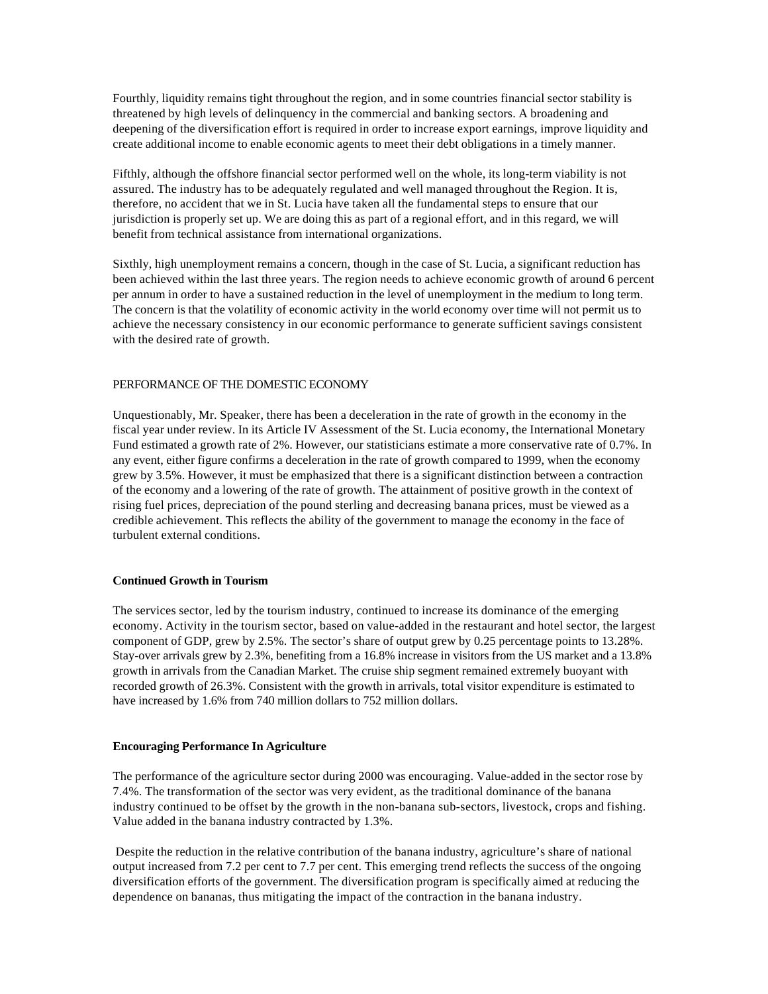Fourthly, liquidity remains tight throughout the region, and in some countries financial sector stability is threatened by high levels of delinquency in the commercial and banking sectors. A broadening and deepening of the diversification effort is required in order to increase export earnings, improve liquidity and create additional income to enable economic agents to meet their debt obligations in a timely manner.

Fifthly, although the offshore financial sector performed well on the whole, its long-term viability is not assured. The industry has to be adequately regulated and well managed throughout the Region. It is, therefore, no accident that we in St. Lucia have taken all the fundamental steps to ensure that our jurisdiction is properly set up. We are doing this as part of a regional effort, and in this regard, we will benefit from technical assistance from international organizations.

Sixthly, high unemployment remains a concern, though in the case of St. Lucia, a significant reduction has been achieved within the last three years. The region needs to achieve economic growth of around 6 percent per annum in order to have a sustained reduction in the level of unemployment in the medium to long term. The concern is that the volatility of economic activity in the world economy over time will not permit us to achieve the necessary consistency in our economic performance to generate sufficient savings consistent with the desired rate of growth.

# PERFORMANCE OF THE DOMESTIC ECONOMY

Unquestionably, Mr. Speaker, there has been a deceleration in the rate of growth in the economy in the fiscal year under review. In its Article IV Assessment of the St. Lucia economy, the International Monetary Fund estimated a growth rate of 2%. However, our statisticians estimate a more conservative rate of 0.7%. In any event, either figure confirms a deceleration in the rate of growth compared to 1999, when the economy grew by 3.5%. However, it must be emphasized that there is a significant distinction between a contraction of the economy and a lowering of the rate of growth. The attainment of positive growth in the context of rising fuel prices, depreciation of the pound sterling and decreasing banana prices, must be viewed as a credible achievement. This reflects the ability of the government to manage the economy in the face of turbulent external conditions.

#### **Continued Growth in Tourism**

The services sector, led by the tourism industry, continued to increase its dominance of the emerging economy. Activity in the tourism sector, based on value-added in the restaurant and hotel sector, the largest component of GDP, grew by 2.5%. The sector's share of output grew by 0.25 percentage points to 13.28%. Stay-over arrivals grew by 2.3%, benefiting from a 16.8% increase in visitors from the US market and a 13.8% growth in arrivals from the Canadian Market. The cruise ship segment remained extremely buoyant with recorded growth of 26.3%. Consistent with the growth in arrivals, total visitor expenditure is estimated to have increased by 1.6% from 740 million dollars to 752 million dollars.

#### **Encouraging Performance In Agriculture**

The performance of the agriculture sector during 2000 was encouraging. Value-added in the sector rose by 7.4%. The transformation of the sector was very evident, as the traditional dominance of the banana industry continued to be offset by the growth in the non-banana sub-sectors, livestock, crops and fishing. Value added in the banana industry contracted by 1.3%.

 Despite the reduction in the relative contribution of the banana industry, agriculture's share of national output increased from 7.2 per cent to 7.7 per cent. This emerging trend reflects the success of the ongoing diversification efforts of the government. The diversification program is specifically aimed at reducing the dependence on bananas, thus mitigating the impact of the contraction in the banana industry.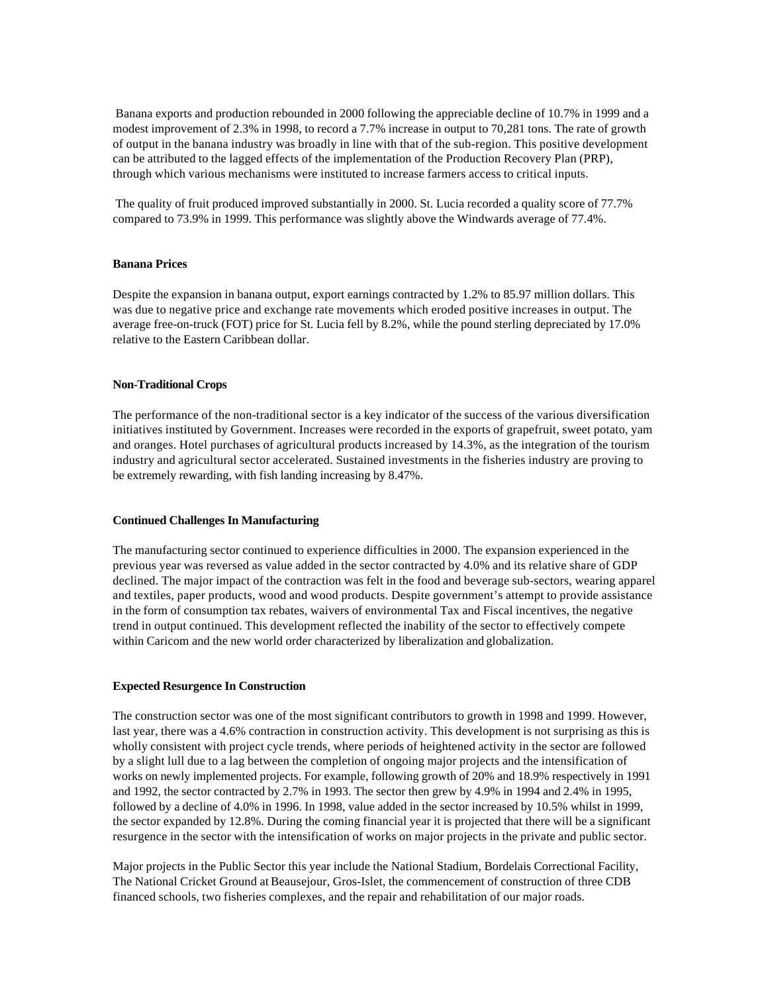Banana exports and production rebounded in 2000 following the appreciable decline of 10.7% in 1999 and a modest improvement of 2.3% in 1998, to record a 7.7% increase in output to 70,281 tons. The rate of growth of output in the banana industry was broadly in line with that of the sub-region. This positive development can be attributed to the lagged effects of the implementation of the Production Recovery Plan (PRP), through which various mechanisms were instituted to increase farmers access to critical inputs.

 The quality of fruit produced improved substantially in 2000. St. Lucia recorded a quality score of 77.7% compared to 73.9% in 1999. This performance was slightly above the Windwards average of 77.4%.

#### **Banana Prices**

Despite the expansion in banana output, export earnings contracted by 1.2% to 85.97 million dollars. This was due to negative price and exchange rate movements which eroded positive increases in output. The average free-on-truck (FOT) price for St. Lucia fell by 8.2%, while the pound sterling depreciated by 17.0% relative to the Eastern Caribbean dollar.

#### **Non-Traditional Crops**

The performance of the non-traditional sector is a key indicator of the success of the various diversification initiatives instituted by Government. Increases were recorded in the exports of grapefruit, sweet potato, yam and oranges. Hotel purchases of agricultural products increased by 14.3%, as the integration of the tourism industry and agricultural sector accelerated. Sustained investments in the fisheries industry are proving to be extremely rewarding, with fish landing increasing by 8.47%.

#### **Continued Challenges In Manufacturing**

The manufacturing sector continued to experience difficulties in 2000. The expansion experienced in the previous year was reversed as value added in the sector contracted by 4.0% and its relative share of GDP declined. The major impact of the contraction was felt in the food and beverage sub-sectors, wearing apparel and textiles, paper products, wood and wood products. Despite government's attempt to provide assistance in the form of consumption tax rebates, waivers of environmental Tax and Fiscal incentives, the negative trend in output continued. This development reflected the inability of the sector to effectively compete within Caricom and the new world order characterized by liberalization and globalization.

#### **Expected Resurgence In Construction**

The construction sector was one of the most significant contributors to growth in 1998 and 1999. However, last year, there was a 4.6% contraction in construction activity. This development is not surprising as this is wholly consistent with project cycle trends, where periods of heightened activity in the sector are followed by a slight lull due to a lag between the completion of ongoing major projects and the intensification of works on newly implemented projects. For example, following growth of 20% and 18.9% respectively in 1991 and 1992, the sector contracted by 2.7% in 1993. The sector then grew by 4.9% in 1994 and 2.4% in 1995, followed by a decline of 4.0% in 1996. In 1998, value added in the sector increased by 10.5% whilst in 1999, the sector expanded by 12.8%. During the coming financial year it is projected that there will be a significant resurgence in the sector with the intensification of works on major projects in the private and public sector.

Major projects in the Public Sector this year include the National Stadium, Bordelais Correctional Facility, The National Cricket Ground at Beausejour, Gros-Islet, the commencement of construction of three CDB financed schools, two fisheries complexes, and the repair and rehabilitation of our major roads.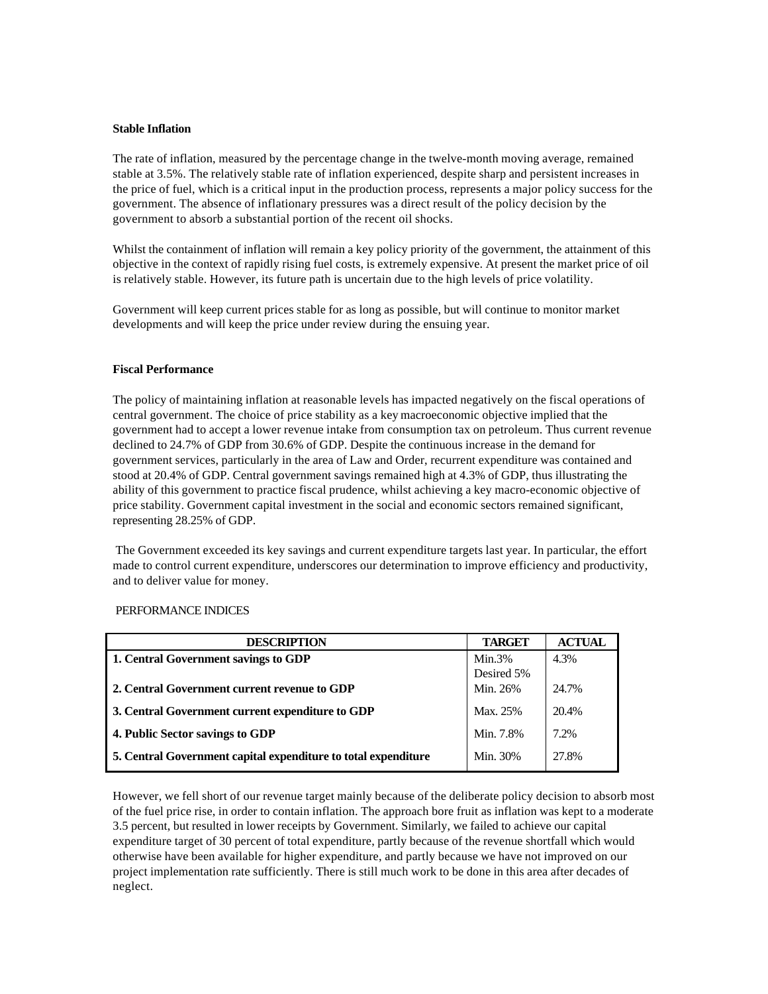#### **Stable Inflation**

The rate of inflation, measured by the percentage change in the twelve-month moving average, remained stable at 3.5%. The relatively stable rate of inflation experienced, despite sharp and persistent increases in the price of fuel, which is a critical input in the production process, represents a major policy success for the government. The absence of inflationary pressures was a direct result of the policy decision by the government to absorb a substantial portion of the recent oil shocks.

Whilst the containment of inflation will remain a key policy priority of the government, the attainment of this objective in the context of rapidly rising fuel costs, is extremely expensive. At present the market price of oil is relatively stable. However, its future path is uncertain due to the high levels of price volatility.

Government will keep current prices stable for as long as possible, but will continue to monitor market developments and will keep the price under review during the ensuing year.

#### **Fiscal Performance**

The policy of maintaining inflation at reasonable levels has impacted negatively on the fiscal operations of central government. The choice of price stability as a key macroeconomic objective implied that the government had to accept a lower revenue intake from consumption tax on petroleum. Thus current revenue declined to 24.7% of GDP from 30.6% of GDP. Despite the continuous increase in the demand for government services, particularly in the area of Law and Order, recurrent expenditure was contained and stood at 20.4% of GDP. Central government savings remained high at 4.3% of GDP, thus illustrating the ability of this government to practice fiscal prudence, whilst achieving a key macro-economic objective of price stability. Government capital investment in the social and economic sectors remained significant, representing 28.25% of GDP.

 The Government exceeded its key savings and current expenditure targets last year. In particular, the effort made to control current expenditure, underscores our determination to improve efficiency and productivity, and to deliver value for money.

# PERFORMANCE INDICES

| <b>DESCRIPTION</b>                                             | <b>TARGET</b> | <b>ACTUAL</b> |
|----------------------------------------------------------------|---------------|---------------|
| 1. Central Government savings to GDP                           | $Min.3\%$     | 4.3%          |
|                                                                | Desired 5%    |               |
| 2. Central Government current revenue to GDP                   | Min. 26%      | 24.7%         |
| 3. Central Government current expenditure to GDP               | Max. 25%      | 20.4%         |
| 4. Public Sector savings to GDP                                | Min. 7.8%     | 7.2%          |
| 5. Central Government capital expenditure to total expenditure | Min. 30%      | 27.8%         |

However, we fell short of our revenue target mainly because of the deliberate policy decision to absorb most of the fuel price rise, in order to contain inflation. The approach bore fruit as inflation was kept to a moderate 3.5 percent, but resulted in lower receipts by Government. Similarly, we failed to achieve our capital expenditure target of 30 percent of total expenditure, partly because of the revenue shortfall which would otherwise have been available for higher expenditure, and partly because we have not improved on our project implementation rate sufficiently. There is still much work to be done in this area after decades of neglect.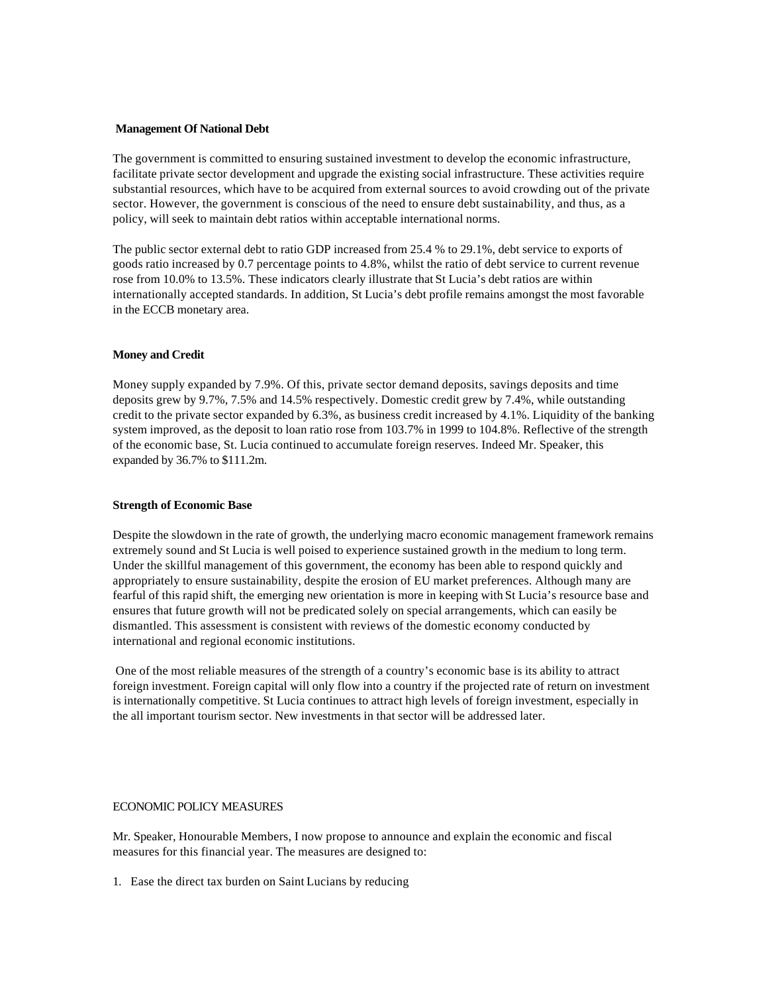#### **Management Of National Debt**

The government is committed to ensuring sustained investment to develop the economic infrastructure, facilitate private sector development and upgrade the existing social infrastructure. These activities require substantial resources, which have to be acquired from external sources to avoid crowding out of the private sector. However, the government is conscious of the need to ensure debt sustainability, and thus, as a policy, will seek to maintain debt ratios within acceptable international norms.

The public sector external debt to ratio GDP increased from 25.4 % to 29.1%, debt service to exports of goods ratio increased by 0.7 percentage points to 4.8%, whilst the ratio of debt service to current revenue rose from 10.0% to 13.5%. These indicators clearly illustrate that St Lucia's debt ratios are within internationally accepted standards. In addition, St Lucia's debt profile remains amongst the most favorable in the ECCB monetary area.

#### **Money and Credit**

Money supply expanded by 7.9%. Of this, private sector demand deposits, savings deposits and time deposits grew by 9.7%, 7.5% and 14.5% respectively. Domestic credit grew by 7.4%, while outstanding credit to the private sector expanded by 6.3%, as business credit increased by 4.1%. Liquidity of the banking system improved, as the deposit to loan ratio rose from 103.7% in 1999 to 104.8%. Reflective of the strength of the economic base, St. Lucia continued to accumulate foreign reserves. Indeed Mr. Speaker, this expanded by 36.7% to \$111.2m.

#### **Strength of Economic Base**

Despite the slowdown in the rate of growth, the underlying macro economic management framework remains extremely sound and St Lucia is well poised to experience sustained growth in the medium to long term. Under the skillful management of this government, the economy has been able to respond quickly and appropriately to ensure sustainability, despite the erosion of EU market preferences. Although many are fearful of this rapid shift, the emerging new orientation is more in keeping with St Lucia's resource base and ensures that future growth will not be predicated solely on special arrangements, which can easily be dismantled. This assessment is consistent with reviews of the domestic economy conducted by international and regional economic institutions.

 One of the most reliable measures of the strength of a country's economic base is its ability to attract foreign investment. Foreign capital will only flow into a country if the projected rate of return on investment is internationally competitive. St Lucia continues to attract high levels of foreign investment, especially in the all important tourism sector. New investments in that sector will be addressed later.

## ECONOMIC POLICY MEASURES

Mr. Speaker, Honourable Members, I now propose to announce and explain the economic and fiscal measures for this financial year. The measures are designed to:

1. Ease the direct tax burden on Saint Lucians by reducing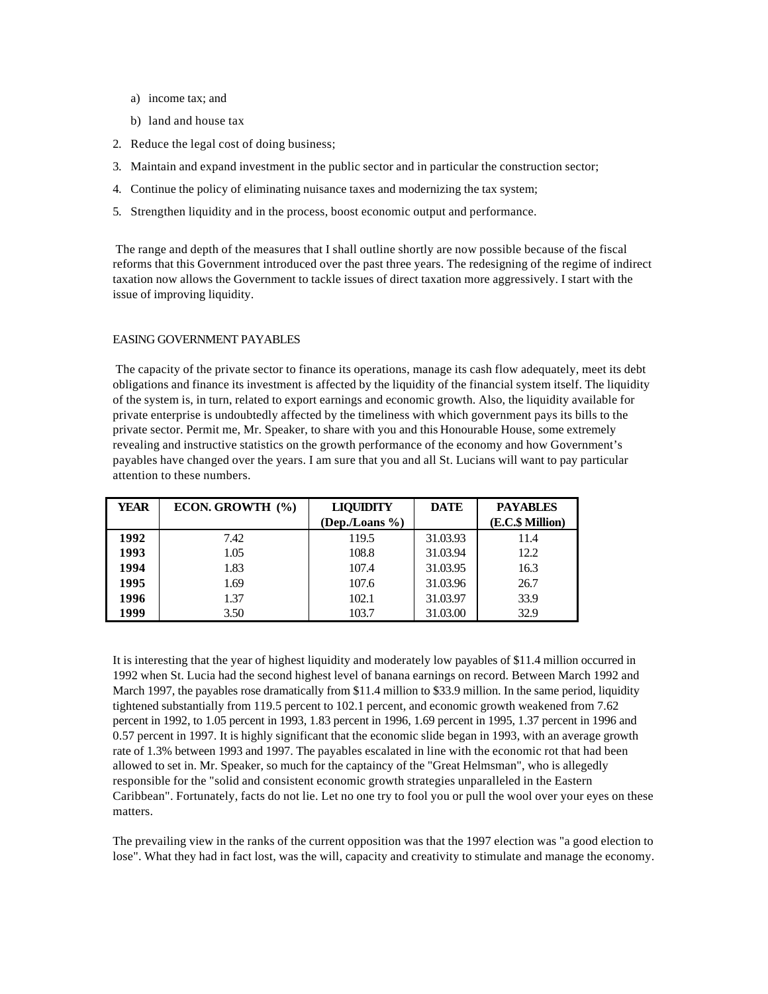- a) income tax; and
- b) land and house tax
- 2. Reduce the legal cost of doing business;
- 3. Maintain and expand investment in the public sector and in particular the construction sector;
- 4. Continue the policy of eliminating nuisance taxes and modernizing the tax system;
- 5. Strengthen liquidity and in the process, boost economic output and performance.

 The range and depth of the measures that I shall outline shortly are now possible because of the fiscal reforms that this Government introduced over the past three years. The redesigning of the regime of indirect taxation now allows the Government to tackle issues of direct taxation more aggressively. I start with the issue of improving liquidity.

# EASING GOVERNMENT PAYABLES

 The capacity of the private sector to finance its operations, manage its cash flow adequately, meet its debt obligations and finance its investment is affected by the liquidity of the financial system itself. The liquidity of the system is, in turn, related to export earnings and economic growth. Also, the liquidity available for private enterprise is undoubtedly affected by the timeliness with which government pays its bills to the private sector. Permit me, Mr. Speaker, to share with you and this Honourable House, some extremely revealing and instructive statistics on the growth performance of the economy and how Government's payables have changed over the years. I am sure that you and all St. Lucians will want to pay particular attention to these numbers.

| <b>YEAR</b> | ECON. GROWTH (%) | <b>LIQUIDITY</b> | <b>DATE</b> | <b>PAYABLES</b>  |
|-------------|------------------|------------------|-------------|------------------|
|             |                  | (Dep./Loans %)   |             | (E.C.\$ Million) |
| 1992        | 7.42             | 119.5            | 31.03.93    | 11.4             |
| 1993        | 1.05             | 108.8            | 31.03.94    | 12.2             |
| 1994        | 1.83             | 107.4            | 31.03.95    | 16.3             |
| 1995        | 1.69             | 107.6            | 31.03.96    | 26.7             |
| 1996        | 1.37             | 102.1            | 31.03.97    | 33.9             |
| 1999        | 3.50             | 103.7            | 31.03.00    | 32.9             |

It is interesting that the year of highest liquidity and moderately low payables of \$11.4 million occurred in 1992 when St. Lucia had the second highest level of banana earnings on record. Between March 1992 and March 1997, the payables rose dramatically from \$11.4 million to \$33.9 million. In the same period, liquidity tightened substantially from 119.5 percent to 102.1 percent, and economic growth weakened from 7.62 percent in 1992, to 1.05 percent in 1993, 1.83 percent in 1996, 1.69 percent in 1995, 1.37 percent in 1996 and 0.57 percent in 1997. It is highly significant that the economic slide began in 1993, with an average growth rate of 1.3% between 1993 and 1997. The payables escalated in line with the economic rot that had been allowed to set in. Mr. Speaker, so much for the captaincy of the "Great Helmsman", who is allegedly responsible for the "solid and consistent economic growth strategies unparalleled in the Eastern Caribbean". Fortunately, facts do not lie. Let no one try to fool you or pull the wool over your eyes on these matters.

The prevailing view in the ranks of the current opposition was that the 1997 election was "a good election to lose". What they had in fact lost, was the will, capacity and creativity to stimulate and manage the economy.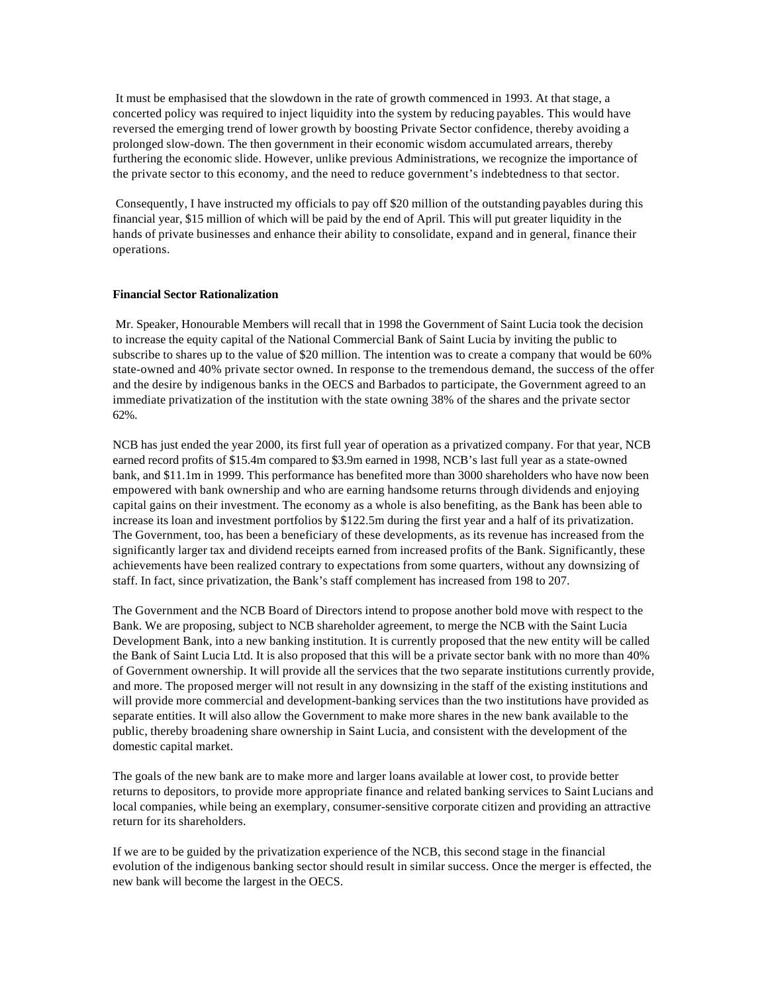It must be emphasised that the slowdown in the rate of growth commenced in 1993. At that stage, a concerted policy was required to inject liquidity into the system by reducing payables. This would have reversed the emerging trend of lower growth by boosting Private Sector confidence, thereby avoiding a prolonged slow-down. The then government in their economic wisdom accumulated arrears, thereby furthering the economic slide. However, unlike previous Administrations, we recognize the importance of the private sector to this economy, and the need to reduce government's indebtedness to that sector.

 Consequently, I have instructed my officials to pay off \$20 million of the outstanding payables during this financial year, \$15 million of which will be paid by the end of April. This will put greater liquidity in the hands of private businesses and enhance their ability to consolidate, expand and in general, finance their operations.

#### **Financial Sector Rationalization**

 Mr. Speaker, Honourable Members will recall that in 1998 the Government of Saint Lucia took the decision to increase the equity capital of the National Commercial Bank of Saint Lucia by inviting the public to subscribe to shares up to the value of \$20 million. The intention was to create a company that would be 60% state-owned and 40% private sector owned. In response to the tremendous demand, the success of the offer and the desire by indigenous banks in the OECS and Barbados to participate, the Government agreed to an immediate privatization of the institution with the state owning 38% of the shares and the private sector 62%.

NCB has just ended the year 2000, its first full year of operation as a privatized company. For that year, NCB earned record profits of \$15.4m compared to \$3.9m earned in 1998, NCB's last full year as a state-owned bank, and \$11.1m in 1999. This performance has benefited more than 3000 shareholders who have now been empowered with bank ownership and who are earning handsome returns through dividends and enjoying capital gains on their investment. The economy as a whole is also benefiting, as the Bank has been able to increase its loan and investment portfolios by \$122.5m during the first year and a half of its privatization. The Government, too, has been a beneficiary of these developments, as its revenue has increased from the significantly larger tax and dividend receipts earned from increased profits of the Bank. Significantly, these achievements have been realized contrary to expectations from some quarters, without any downsizing of staff. In fact, since privatization, the Bank's staff complement has increased from 198 to 207.

The Government and the NCB Board of Directors intend to propose another bold move with respect to the Bank. We are proposing, subject to NCB shareholder agreement, to merge the NCB with the Saint Lucia Development Bank, into a new banking institution. It is currently proposed that the new entity will be called the Bank of Saint Lucia Ltd. It is also proposed that this will be a private sector bank with no more than 40% of Government ownership. It will provide all the services that the two separate institutions currently provide, and more. The proposed merger will not result in any downsizing in the staff of the existing institutions and will provide more commercial and development-banking services than the two institutions have provided as separate entities. It will also allow the Government to make more shares in the new bank available to the public, thereby broadening share ownership in Saint Lucia, and consistent with the development of the domestic capital market.

The goals of the new bank are to make more and larger loans available at lower cost, to provide better returns to depositors, to provide more appropriate finance and related banking services to Saint Lucians and local companies, while being an exemplary, consumer-sensitive corporate citizen and providing an attractive return for its shareholders.

If we are to be guided by the privatization experience of the NCB, this second stage in the financial evolution of the indigenous banking sector should result in similar success. Once the merger is effected, the new bank will become the largest in the OECS.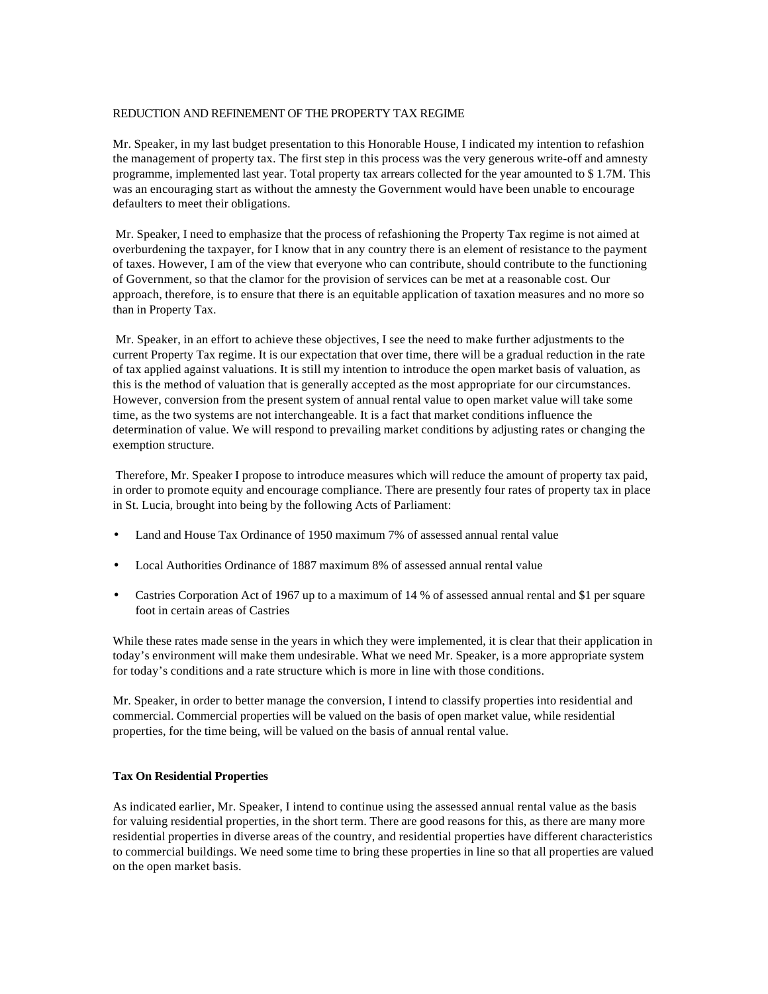# REDUCTION AND REFINEMENT OF THE PROPERTY TAX REGIME

Mr. Speaker, in my last budget presentation to this Honorable House, I indicated my intention to refashion the management of property tax. The first step in this process was the very generous write-off and amnesty programme, implemented last year. Total property tax arrears collected for the year amounted to \$ 1.7M. This was an encouraging start as without the amnesty the Government would have been unable to encourage defaulters to meet their obligations.

 Mr. Speaker, I need to emphasize that the process of refashioning the Property Tax regime is not aimed at overburdening the taxpayer, for I know that in any country there is an element of resistance to the payment of taxes. However, I am of the view that everyone who can contribute, should contribute to the functioning of Government, so that the clamor for the provision of services can be met at a reasonable cost. Our approach, therefore, is to ensure that there is an equitable application of taxation measures and no more so than in Property Tax.

 Mr. Speaker, in an effort to achieve these objectives, I see the need to make further adjustments to the current Property Tax regime. It is our expectation that over time, there will be a gradual reduction in the rate of tax applied against valuations. It is still my intention to introduce the open market basis of valuation, as this is the method of valuation that is generally accepted as the most appropriate for our circumstances. However, conversion from the present system of annual rental value to open market value will take some time, as the two systems are not interchangeable. It is a fact that market conditions influence the determination of value. We will respond to prevailing market conditions by adjusting rates or changing the exemption structure.

 Therefore, Mr. Speaker I propose to introduce measures which will reduce the amount of property tax paid, in order to promote equity and encourage compliance. There are presently four rates of property tax in place in St. Lucia, brought into being by the following Acts of Parliament:

- Land and House Tax Ordinance of 1950 maximum 7% of assessed annual rental value
- Local Authorities Ordinance of 1887 maximum 8% of assessed annual rental value
- Castries Corporation Act of 1967 up to a maximum of 14 % of assessed annual rental and \$1 per square foot in certain areas of Castries

While these rates made sense in the years in which they were implemented, it is clear that their application in today's environment will make them undesirable. What we need Mr. Speaker, is a more appropriate system for today's conditions and a rate structure which is more in line with those conditions.

Mr. Speaker, in order to better manage the conversion, I intend to classify properties into residential and commercial. Commercial properties will be valued on the basis of open market value, while residential properties, for the time being, will be valued on the basis of annual rental value.

#### **Tax On Residential Properties**

As indicated earlier, Mr. Speaker, I intend to continue using the assessed annual rental value as the basis for valuing residential properties, in the short term. There are good reasons for this, as there are many more residential properties in diverse areas of the country, and residential properties have different characteristics to commercial buildings. We need some time to bring these properties in line so that all properties are valued on the open market basis.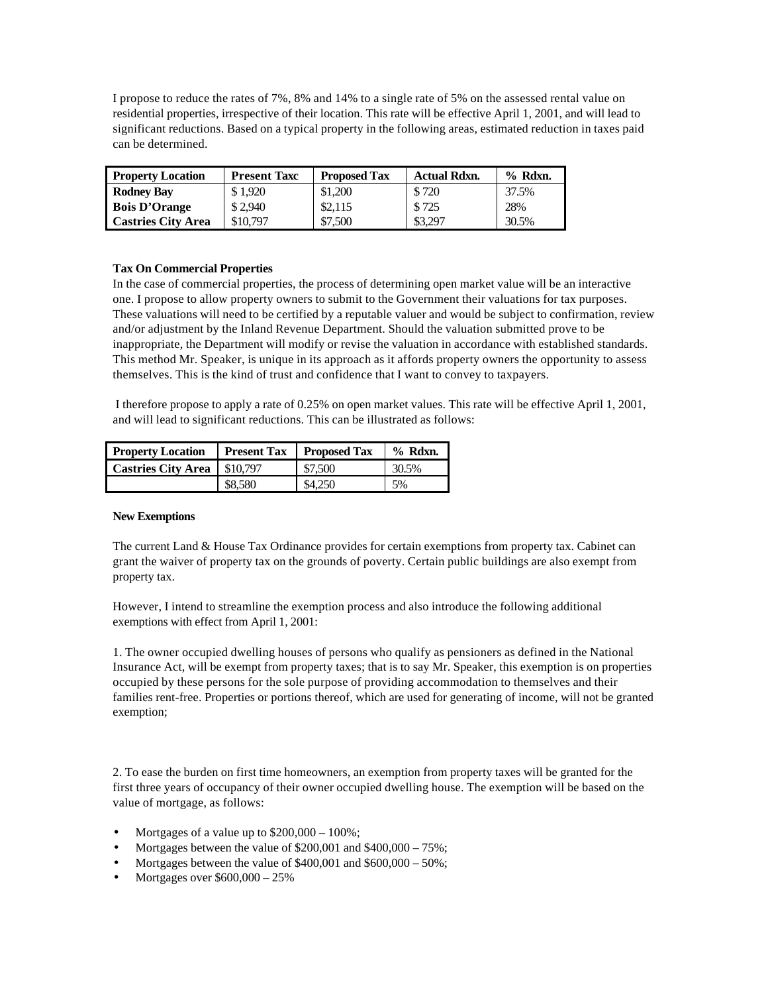I propose to reduce the rates of 7%, 8% and 14% to a single rate of 5% on the assessed rental value on residential properties, irrespective of their location. This rate will be effective April 1, 2001, and will lead to significant reductions. Based on a typical property in the following areas, estimated reduction in taxes paid can be determined.

| <b>Property Location</b>  | <b>Present Taxc</b> | <b>Proposed Tax</b> | <b>Actual Rdxn.</b> | $%$ Rdxn. |
|---------------------------|---------------------|---------------------|---------------------|-----------|
| <b>Rodney Bay</b>         | \$1.920             | \$1,200             | \$720               | 37.5%     |
| <b>Bois D'Orange</b>      | \$2,940             | \$2,115             | \$725               | 28%       |
| <b>Castries City Area</b> | \$10,797            | \$7,500             | \$3,297             | 30.5%     |

# **Tax On Commercial Properties**

In the case of commercial properties, the process of determining open market value will be an interactive one. I propose to allow property owners to submit to the Government their valuations for tax purposes. These valuations will need to be certified by a reputable valuer and would be subject to confirmation, review and/or adjustment by the Inland Revenue Department. Should the valuation submitted prove to be inappropriate, the Department will modify or revise the valuation in accordance with established standards. This method Mr. Speaker, is unique in its approach as it affords property owners the opportunity to assess themselves. This is the kind of trust and confidence that I want to convey to taxpayers.

 I therefore propose to apply a rate of 0.25% on open market values. This rate will be effective April 1, 2001, and will lead to significant reductions. This can be illustrated as follows:

| <b>Property Location</b>  | <b>Present Tax</b> | <b>Proposed Tax</b> | $%$ Rdxn. |
|---------------------------|--------------------|---------------------|-----------|
| <b>Castries City Area</b> | \$10,797           | \$7,500             | 30.5%     |
|                           | \$8,580            | \$4.250             | 5%        |

#### **New Exemptions**

The current Land & House Tax Ordinance provides for certain exemptions from property tax. Cabinet can grant the waiver of property tax on the grounds of poverty. Certain public buildings are also exempt from property tax.

However, I intend to streamline the exemption process and also introduce the following additional exemptions with effect from April 1, 2001:

1. The owner occupied dwelling houses of persons who qualify as pensioners as defined in the National Insurance Act, will be exempt from property taxes; that is to say Mr. Speaker, this exemption is on properties occupied by these persons for the sole purpose of providing accommodation to themselves and their families rent-free. Properties or portions thereof, which are used for generating of income, will not be granted exemption;

2. To ease the burden on first time homeowners, an exemption from property taxes will be granted for the first three years of occupancy of their owner occupied dwelling house. The exemption will be based on the value of mortgage, as follows:

- Mortgages of a value up to \$200,000 100%;
- Mortgages between the value of  $$200,001$  and  $$400,000 75\%$ ;
- Mortgages between the value of \$400,001 and \$600,000 50%;
- Mortgages over \$600,000 25%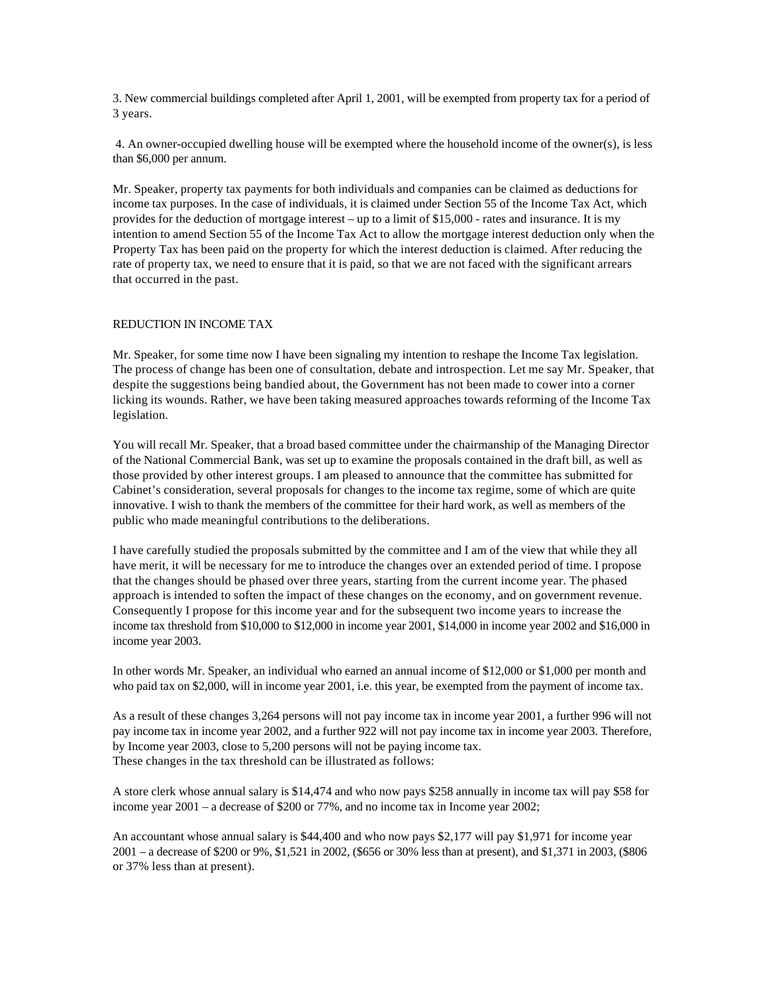3. New commercial buildings completed after April 1, 2001, will be exempted from property tax for a period of 3 years.

 4. An owner-occupied dwelling house will be exempted where the household income of the owner(s), is less than \$6,000 per annum.

Mr. Speaker, property tax payments for both individuals and companies can be claimed as deductions for income tax purposes. In the case of individuals, it is claimed under Section 55 of the Income Tax Act, which provides for the deduction of mortgage interest – up to a limit of \$15,000 - rates and insurance. It is my intention to amend Section 55 of the Income Tax Act to allow the mortgage interest deduction only when the Property Tax has been paid on the property for which the interest deduction is claimed. After reducing the rate of property tax, we need to ensure that it is paid, so that we are not faced with the significant arrears that occurred in the past.

#### REDUCTION IN INCOME TAX

Mr. Speaker, for some time now I have been signaling my intention to reshape the Income Tax legislation. The process of change has been one of consultation, debate and introspection. Let me say Mr. Speaker, that despite the suggestions being bandied about, the Government has not been made to cower into a corner licking its wounds. Rather, we have been taking measured approaches towards reforming of the Income Tax legislation.

You will recall Mr. Speaker, that a broad based committee under the chairmanship of the Managing Director of the National Commercial Bank, was set up to examine the proposals contained in the draft bill, as well as those provided by other interest groups. I am pleased to announce that the committee has submitted for Cabinet's consideration, several proposals for changes to the income tax regime, some of which are quite innovative. I wish to thank the members of the committee for their hard work, as well as members of the public who made meaningful contributions to the deliberations.

I have carefully studied the proposals submitted by the committee and I am of the view that while they all have merit, it will be necessary for me to introduce the changes over an extended period of time. I propose that the changes should be phased over three years, starting from the current income year. The phased approach is intended to soften the impact of these changes on the economy, and on government revenue. Consequently I propose for this income year and for the subsequent two income years to increase the income tax threshold from \$10,000 to \$12,000 in income year 2001, \$14,000 in income year 2002 and \$16,000 in income year 2003.

In other words Mr. Speaker, an individual who earned an annual income of \$12,000 or \$1,000 per month and who paid tax on \$2,000, will in income year 2001, i.e. this year, be exempted from the payment of income tax.

As a result of these changes 3,264 persons will not pay income tax in income year 2001, a further 996 will not pay income tax in income year 2002, and a further 922 will not pay income tax in income year 2003. Therefore, by Income year 2003, close to 5,200 persons will not be paying income tax. These changes in the tax threshold can be illustrated as follows:

A store clerk whose annual salary is \$14,474 and who now pays \$258 annually in income tax will pay \$58 for income year 2001 – a decrease of \$200 or 77%, and no income tax in Income year 2002;

An accountant whose annual salary is \$44,400 and who now pays \$2,177 will pay \$1,971 for income year 2001 – a decrease of \$200 or 9%, \$1,521 in 2002, (\$656 or 30% less than at present), and \$1,371 in 2003, (\$806 or 37% less than at present).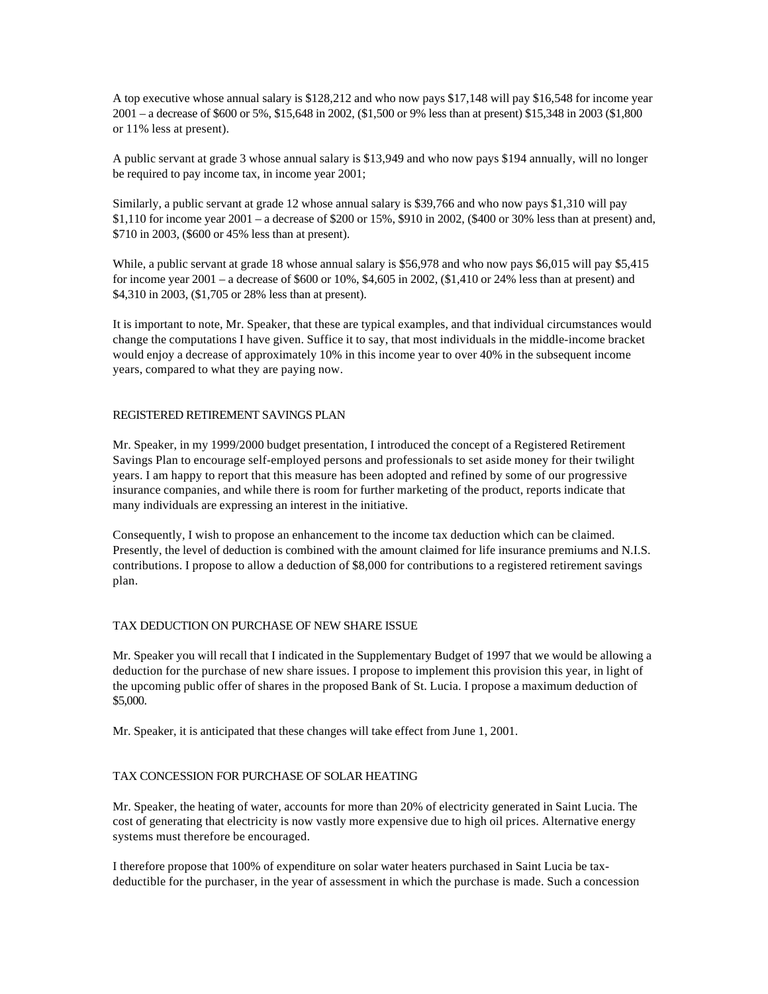A top executive whose annual salary is \$128,212 and who now pays \$17,148 will pay \$16,548 for income year 2001 – a decrease of \$600 or 5%, \$15,648 in 2002, (\$1,500 or 9% less than at present) \$15,348 in 2003 (\$1,800 or 11% less at present).

A public servant at grade 3 whose annual salary is \$13,949 and who now pays \$194 annually, will no longer be required to pay income tax, in income year 2001;

Similarly, a public servant at grade 12 whose annual salary is \$39,766 and who now pays \$1,310 will pay \$1,110 for income year 2001 – a decrease of \$200 or 15%, \$910 in 2002, (\$400 or 30% less than at present) and, \$710 in 2003, (\$600 or 45% less than at present).

While, a public servant at grade 18 whose annual salary is \$56,978 and who now pays \$6,015 will pay \$5,415 for income year 2001 – a decrease of \$600 or 10%, \$4,605 in 2002, (\$1,410 or 24% less than at present) and \$4,310 in 2003, (\$1,705 or 28% less than at present).

It is important to note, Mr. Speaker, that these are typical examples, and that individual circumstances would change the computations I have given. Suffice it to say, that most individuals in the middle-income bracket would enjoy a decrease of approximately 10% in this income year to over 40% in the subsequent income years, compared to what they are paying now.

# REGISTERED RETIREMENT SAVINGS PLAN

Mr. Speaker, in my 1999/2000 budget presentation, I introduced the concept of a Registered Retirement Savings Plan to encourage self-employed persons and professionals to set aside money for their twilight years. I am happy to report that this measure has been adopted and refined by some of our progressive insurance companies, and while there is room for further marketing of the product, reports indicate that many individuals are expressing an interest in the initiative.

Consequently, I wish to propose an enhancement to the income tax deduction which can be claimed. Presently, the level of deduction is combined with the amount claimed for life insurance premiums and N.I.S. contributions. I propose to allow a deduction of \$8,000 for contributions to a registered retirement savings plan.

#### TAX DEDUCTION ON PURCHASE OF NEW SHARE ISSUE

Mr. Speaker you will recall that I indicated in the Supplementary Budget of 1997 that we would be allowing a deduction for the purchase of new share issues. I propose to implement this provision this year, in light of the upcoming public offer of shares in the proposed Bank of St. Lucia. I propose a maximum deduction of \$5,000.

Mr. Speaker, it is anticipated that these changes will take effect from June 1, 2001.

# TAX CONCESSION FOR PURCHASE OF SOLAR HEATING

Mr. Speaker, the heating of water, accounts for more than 20% of electricity generated in Saint Lucia. The cost of generating that electricity is now vastly more expensive due to high oil prices. Alternative energy systems must therefore be encouraged.

I therefore propose that 100% of expenditure on solar water heaters purchased in Saint Lucia be taxdeductible for the purchaser, in the year of assessment in which the purchase is made. Such a concession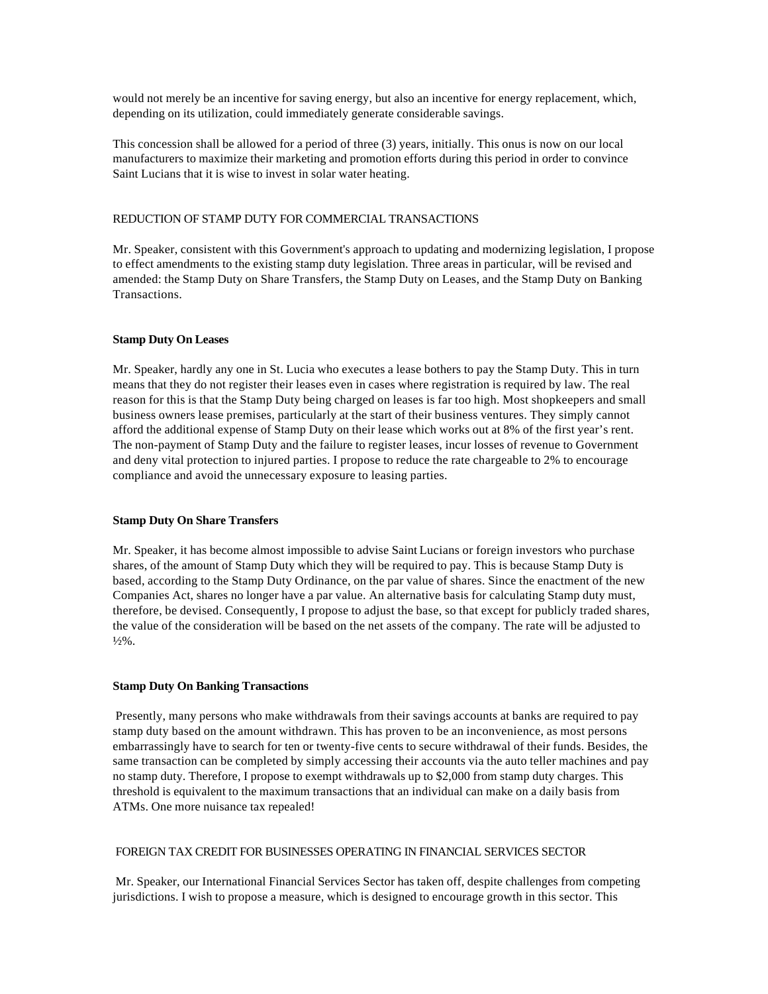would not merely be an incentive for saving energy, but also an incentive for energy replacement, which, depending on its utilization, could immediately generate considerable savings.

This concession shall be allowed for a period of three (3) years, initially. This onus is now on our local manufacturers to maximize their marketing and promotion efforts during this period in order to convince Saint Lucians that it is wise to invest in solar water heating.

#### REDUCTION OF STAMP DUTY FOR COMMERCIAL TRANSACTIONS

Mr. Speaker, consistent with this Government's approach to updating and modernizing legislation, I propose to effect amendments to the existing stamp duty legislation. Three areas in particular, will be revised and amended: the Stamp Duty on Share Transfers, the Stamp Duty on Leases, and the Stamp Duty on Banking Transactions.

# **Stamp Duty On Leases**

Mr. Speaker, hardly any one in St. Lucia who executes a lease bothers to pay the Stamp Duty. This in turn means that they do not register their leases even in cases where registration is required by law. The real reason for this is that the Stamp Duty being charged on leases is far too high. Most shopkeepers and small business owners lease premises, particularly at the start of their business ventures. They simply cannot afford the additional expense of Stamp Duty on their lease which works out at 8% of the first year's rent. The non-payment of Stamp Duty and the failure to register leases, incur losses of revenue to Government and deny vital protection to injured parties. I propose to reduce the rate chargeable to 2% to encourage compliance and avoid the unnecessary exposure to leasing parties.

#### **Stamp Duty On Share Transfers**

Mr. Speaker, it has become almost impossible to advise Saint Lucians or foreign investors who purchase shares, of the amount of Stamp Duty which they will be required to pay. This is because Stamp Duty is based, according to the Stamp Duty Ordinance, on the par value of shares. Since the enactment of the new Companies Act, shares no longer have a par value. An alternative basis for calculating Stamp duty must, therefore, be devised. Consequently, I propose to adjust the base, so that except for publicly traded shares, the value of the consideration will be based on the net assets of the company. The rate will be adjusted to  $\frac{1}{2}\%$ .

#### **Stamp Duty On Banking Transactions**

 Presently, many persons who make withdrawals from their savings accounts at banks are required to pay stamp duty based on the amount withdrawn. This has proven to be an inconvenience, as most persons embarrassingly have to search for ten or twenty-five cents to secure withdrawal of their funds. Besides, the same transaction can be completed by simply accessing their accounts via the auto teller machines and pay no stamp duty. Therefore, I propose to exempt withdrawals up to \$2,000 from stamp duty charges. This threshold is equivalent to the maximum transactions that an individual can make on a daily basis from ATMs. One more nuisance tax repealed!

#### FOREIGN TAX CREDIT FOR BUSINESSES OPERATING IN FINANCIAL SERVICES SECTOR

 Mr. Speaker, our International Financial Services Sector has taken off, despite challenges from competing jurisdictions. I wish to propose a measure, which is designed to encourage growth in this sector. This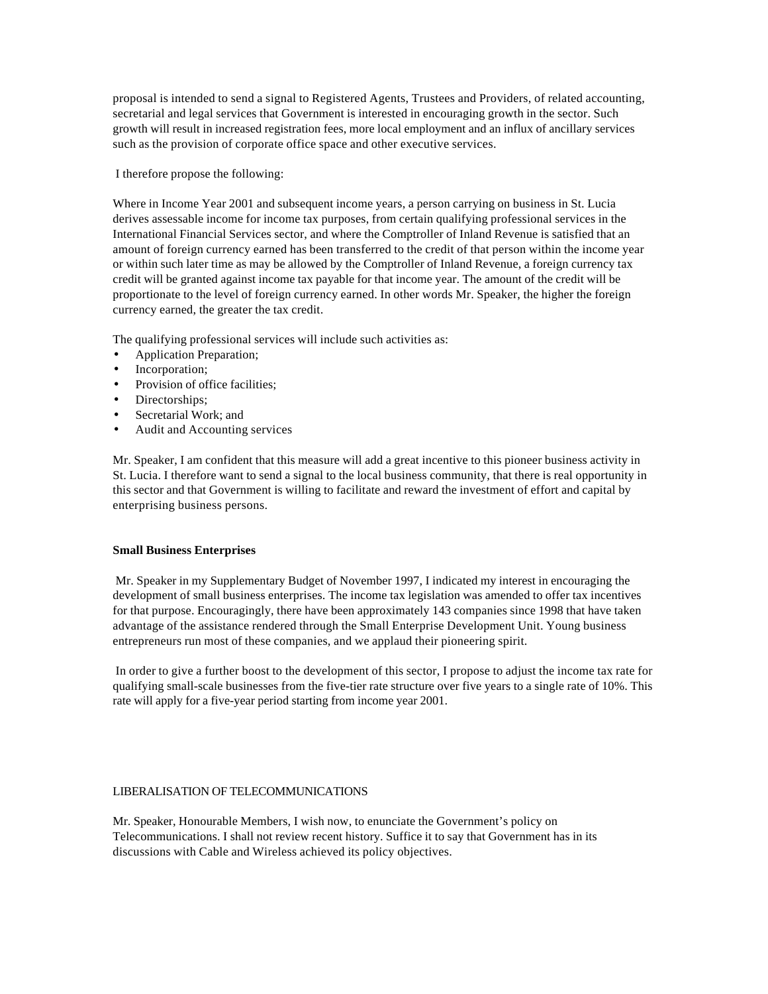proposal is intended to send a signal to Registered Agents, Trustees and Providers, of related accounting, secretarial and legal services that Government is interested in encouraging growth in the sector. Such growth will result in increased registration fees, more local employment and an influx of ancillary services such as the provision of corporate office space and other executive services.

I therefore propose the following:

Where in Income Year 2001 and subsequent income years, a person carrying on business in St. Lucia derives assessable income for income tax purposes, from certain qualifying professional services in the International Financial Services sector, and where the Comptroller of Inland Revenue is satisfied that an amount of foreign currency earned has been transferred to the credit of that person within the income year or within such later time as may be allowed by the Comptroller of Inland Revenue, a foreign currency tax credit will be granted against income tax payable for that income year. The amount of the credit will be proportionate to the level of foreign currency earned. In other words Mr. Speaker, the higher the foreign currency earned, the greater the tax credit.

The qualifying professional services will include such activities as:

- Application Preparation;
- Incorporation;
- Provision of office facilities;
- Directorships;
- Secretarial Work; and
- Audit and Accounting services

Mr. Speaker, I am confident that this measure will add a great incentive to this pioneer business activity in St. Lucia. I therefore want to send a signal to the local business community, that there is real opportunity in this sector and that Government is willing to facilitate and reward the investment of effort and capital by enterprising business persons.

#### **Small Business Enterprises**

 Mr. Speaker in my Supplementary Budget of November 1997, I indicated my interest in encouraging the development of small business enterprises. The income tax legislation was amended to offer tax incentives for that purpose. Encouragingly, there have been approximately 143 companies since 1998 that have taken advantage of the assistance rendered through the Small Enterprise Development Unit. Young business entrepreneurs run most of these companies, and we applaud their pioneering spirit.

 In order to give a further boost to the development of this sector, I propose to adjust the income tax rate for qualifying small-scale businesses from the five-tier rate structure over five years to a single rate of 10%. This rate will apply for a five-year period starting from income year 2001.

#### LIBERALISATION OF TELECOMMUNICATIONS

Mr. Speaker, Honourable Members, I wish now, to enunciate the Government's policy on Telecommunications. I shall not review recent history. Suffice it to say that Government has in its discussions with Cable and Wireless achieved its policy objectives.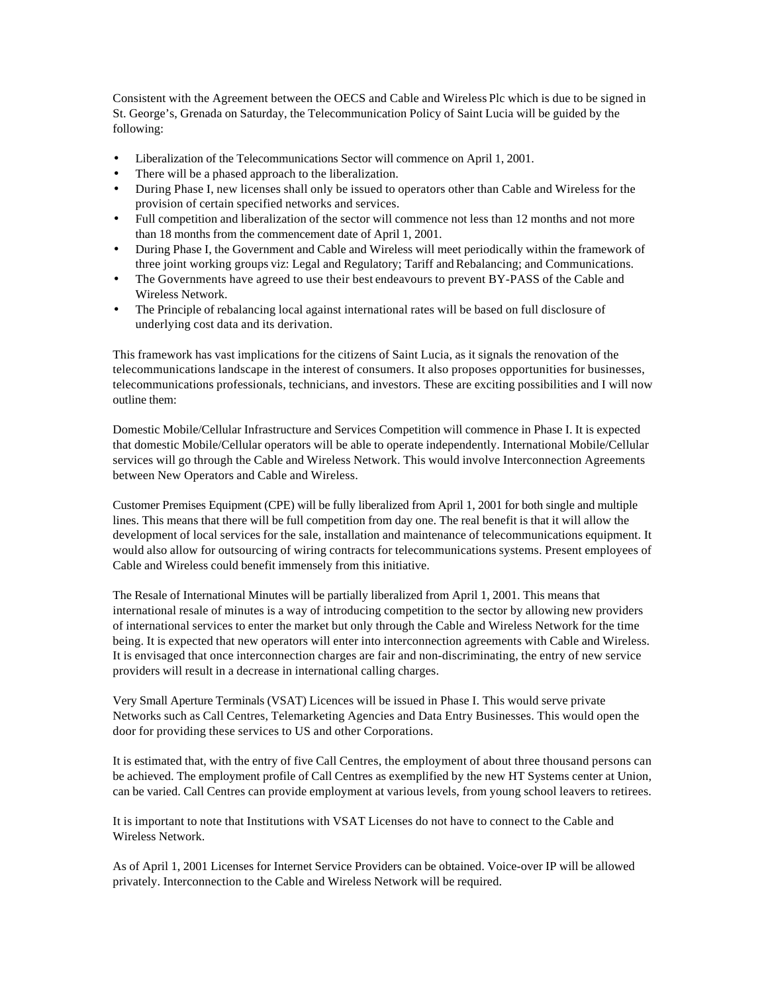Consistent with the Agreement between the OECS and Cable and Wireless Plc which is due to be signed in St. George's, Grenada on Saturday, the Telecommunication Policy of Saint Lucia will be guided by the following:

- Liberalization of the Telecommunications Sector will commence on April 1, 2001.
- There will be a phased approach to the liberalization.
- During Phase I, new licenses shall only be issued to operators other than Cable and Wireless for the provision of certain specified networks and services.
- Full competition and liberalization of the sector will commence not less than 12 months and not more than 18 months from the commencement date of April 1, 2001.
- During Phase I, the Government and Cable and Wireless will meet periodically within the framework of three joint working groups viz: Legal and Regulatory; Tariff and Rebalancing; and Communications.
- The Governments have agreed to use their best endeavours to prevent BY-PASS of the Cable and Wireless Network.
- The Principle of rebalancing local against international rates will be based on full disclosure of underlying cost data and its derivation.

This framework has vast implications for the citizens of Saint Lucia, as it signals the renovation of the telecommunications landscape in the interest of consumers. It also proposes opportunities for businesses, telecommunications professionals, technicians, and investors. These are exciting possibilities and I will now outline them:

Domestic Mobile/Cellular Infrastructure and Services Competition will commence in Phase I. It is expected that domestic Mobile/Cellular operators will be able to operate independently. International Mobile/Cellular services will go through the Cable and Wireless Network. This would involve Interconnection Agreements between New Operators and Cable and Wireless.

Customer Premises Equipment (CPE) will be fully liberalized from April 1, 2001 for both single and multiple lines. This means that there will be full competition from day one. The real benefit is that it will allow the development of local services for the sale, installation and maintenance of telecommunications equipment. It would also allow for outsourcing of wiring contracts for telecommunications systems. Present employees of Cable and Wireless could benefit immensely from this initiative.

The Resale of International Minutes will be partially liberalized from April 1, 2001. This means that international resale of minutes is a way of introducing competition to the sector by allowing new providers of international services to enter the market but only through the Cable and Wireless Network for the time being. It is expected that new operators will enter into interconnection agreements with Cable and Wireless. It is envisaged that once interconnection charges are fair and non-discriminating, the entry of new service providers will result in a decrease in international calling charges.

Very Small Aperture Terminals (VSAT) Licences will be issued in Phase I. This would serve private Networks such as Call Centres, Telemarketing Agencies and Data Entry Businesses. This would open the door for providing these services to US and other Corporations.

It is estimated that, with the entry of five Call Centres, the employment of about three thousand persons can be achieved. The employment profile of Call Centres as exemplified by the new HT Systems center at Union, can be varied. Call Centres can provide employment at various levels, from young school leavers to retirees.

It is important to note that Institutions with VSAT Licenses do not have to connect to the Cable and Wireless Network.

As of April 1, 2001 Licenses for Internet Service Providers can be obtained. Voice-over IP will be allowed privately. Interconnection to the Cable and Wireless Network will be required.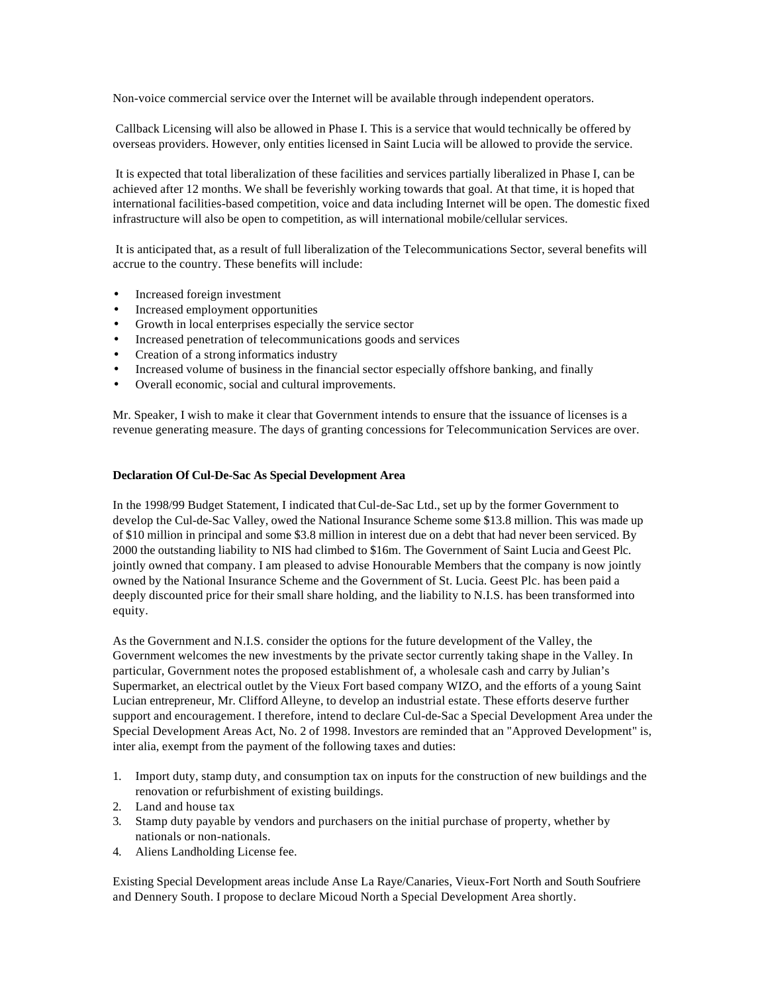Non-voice commercial service over the Internet will be available through independent operators.

 Callback Licensing will also be allowed in Phase I. This is a service that would technically be offered by overseas providers. However, only entities licensed in Saint Lucia will be allowed to provide the service.

 It is expected that total liberalization of these facilities and services partially liberalized in Phase I, can be achieved after 12 months. We shall be feverishly working towards that goal. At that time, it is hoped that international facilities-based competition, voice and data including Internet will be open. The domestic fixed infrastructure will also be open to competition, as will international mobile/cellular services.

 It is anticipated that, as a result of full liberalization of the Telecommunications Sector, several benefits will accrue to the country. These benefits will include:

- Increased foreign investment
- Increased employment opportunities
- Growth in local enterprises especially the service sector
- Increased penetration of telecommunications goods and services
- Creation of a strong informatics industry
- Increased volume of business in the financial sector especially offshore banking, and finally
- Overall economic, social and cultural improvements.

Mr. Speaker, I wish to make it clear that Government intends to ensure that the issuance of licenses is a revenue generating measure. The days of granting concessions for Telecommunication Services are over.

#### **Declaration Of Cul-De-Sac As Special Development Area**

In the 1998/99 Budget Statement, I indicated that Cul-de-Sac Ltd., set up by the former Government to develop the Cul-de-Sac Valley, owed the National Insurance Scheme some \$13.8 million. This was made up of \$10 million in principal and some \$3.8 million in interest due on a debt that had never been serviced. By 2000 the outstanding liability to NIS had climbed to \$16m. The Government of Saint Lucia and Geest Plc. jointly owned that company. I am pleased to advise Honourable Members that the company is now jointly owned by the National Insurance Scheme and the Government of St. Lucia. Geest Plc. has been paid a deeply discounted price for their small share holding, and the liability to N.I.S. has been transformed into equity.

As the Government and N.I.S. consider the options for the future development of the Valley, the Government welcomes the new investments by the private sector currently taking shape in the Valley. In particular, Government notes the proposed establishment of, a wholesale cash and carry by Julian's Supermarket, an electrical outlet by the Vieux Fort based company WIZO, and the efforts of a young Saint Lucian entrepreneur, Mr. Clifford Alleyne, to develop an industrial estate. These efforts deserve further support and encouragement. I therefore, intend to declare Cul-de-Sac a Special Development Area under the Special Development Areas Act, No. 2 of 1998. Investors are reminded that an "Approved Development" is, inter alia, exempt from the payment of the following taxes and duties:

- 1. Import duty, stamp duty, and consumption tax on inputs for the construction of new buildings and the renovation or refurbishment of existing buildings.
- 2. Land and house tax
- 3. Stamp duty payable by vendors and purchasers on the initial purchase of property, whether by nationals or non-nationals.
- 4. Aliens Landholding License fee.

Existing Special Development areas include Anse La Raye/Canaries, Vieux-Fort North and South Soufriere and Dennery South. I propose to declare Micoud North a Special Development Area shortly.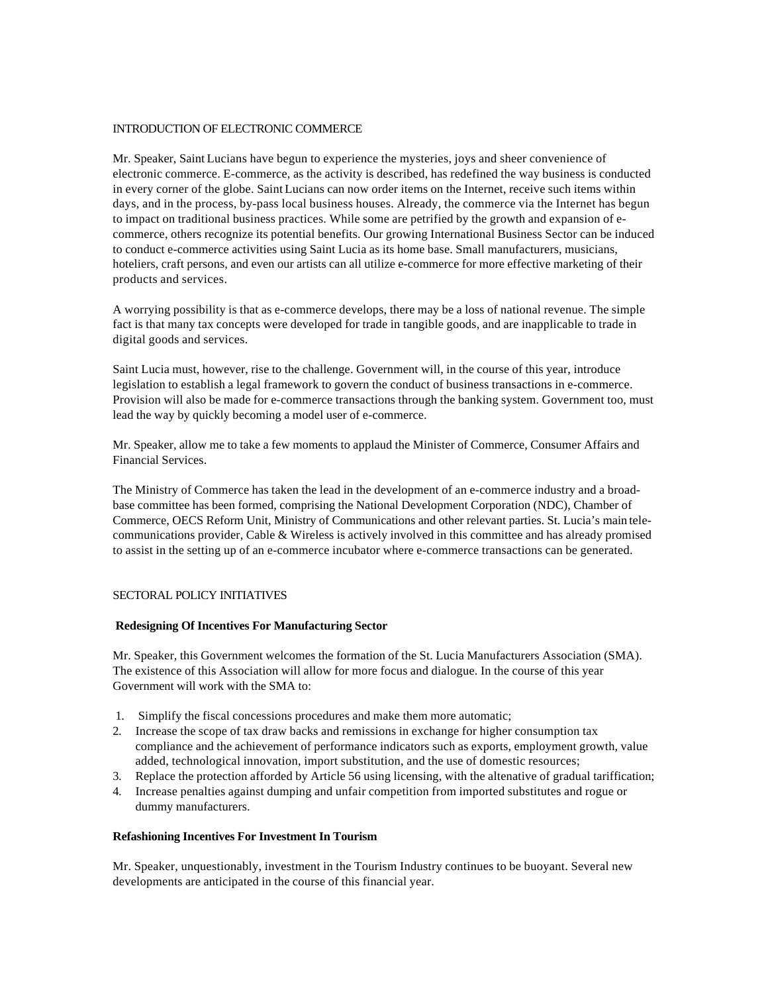#### INTRODUCTION OF ELECTRONIC COMMERCE

Mr. Speaker, Saint Lucians have begun to experience the mysteries, joys and sheer convenience of electronic commerce. E-commerce, as the activity is described, has redefined the way business is conducted in every corner of the globe. Saint Lucians can now order items on the Internet, receive such items within days, and in the process, by-pass local business houses. Already, the commerce via the Internet has begun to impact on traditional business practices. While some are petrified by the growth and expansion of ecommerce, others recognize its potential benefits. Our growing International Business Sector can be induced to conduct e-commerce activities using Saint Lucia as its home base. Small manufacturers, musicians, hoteliers, craft persons, and even our artists can all utilize e-commerce for more effective marketing of their products and services.

A worrying possibility is that as e-commerce develops, there may be a loss of national revenue. The simple fact is that many tax concepts were developed for trade in tangible goods, and are inapplicable to trade in digital goods and services.

Saint Lucia must, however, rise to the challenge. Government will, in the course of this year, introduce legislation to establish a legal framework to govern the conduct of business transactions in e-commerce. Provision will also be made for e-commerce transactions through the banking system. Government too, must lead the way by quickly becoming a model user of e-commerce.

Mr. Speaker, allow me to take a few moments to applaud the Minister of Commerce, Consumer Affairs and Financial Services.

The Ministry of Commerce has taken the lead in the development of an e-commerce industry and a broadbase committee has been formed, comprising the National Development Corporation (NDC), Chamber of Commerce, OECS Reform Unit, Ministry of Communications and other relevant parties. St. Lucia's main telecommunications provider, Cable & Wireless is actively involved in this committee and has already promised to assist in the setting up of an e-commerce incubator where e-commerce transactions can be generated.

# SECTORAL POLICY INITIATIVES

#### **Redesigning Of Incentives For Manufacturing Sector**

Mr. Speaker, this Government welcomes the formation of the St. Lucia Manufacturers Association (SMA). The existence of this Association will allow for more focus and dialogue. In the course of this year Government will work with the SMA to:

- 1. Simplify the fiscal concessions procedures and make them more automatic;
- 2. Increase the scope of tax draw backs and remissions in exchange for higher consumption tax compliance and the achievement of performance indicators such as exports, employment growth, value added, technological innovation, import substitution, and the use of domestic resources;
- 3. Replace the protection afforded by Article 56 using licensing, with the altenative of gradual tariffication;
- 4. Increase penalties against dumping and unfair competition from imported substitutes and rogue or dummy manufacturers.

# **Refashioning Incentives For Investment In Tourism**

Mr. Speaker, unquestionably, investment in the Tourism Industry continues to be buoyant. Several new developments are anticipated in the course of this financial year.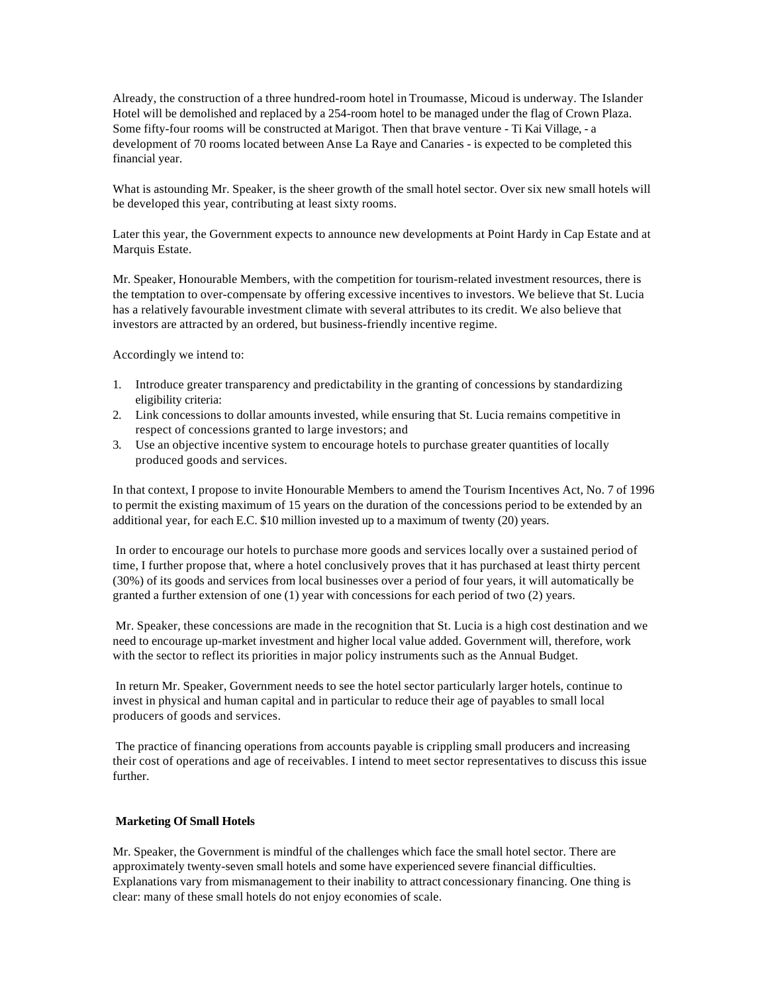Already, the construction of a three hundred-room hotel in Troumasse, Micoud is underway. The Islander Hotel will be demolished and replaced by a 254-room hotel to be managed under the flag of Crown Plaza. Some fifty-four rooms will be constructed at Marigot. Then that brave venture - Ti Kai Village, - a development of 70 rooms located between Anse La Raye and Canaries - is expected to be completed this financial year.

What is astounding Mr. Speaker, is the sheer growth of the small hotel sector. Over six new small hotels will be developed this year, contributing at least sixty rooms.

Later this year, the Government expects to announce new developments at Point Hardy in Cap Estate and at Marquis Estate.

Mr. Speaker, Honourable Members, with the competition for tourism-related investment resources, there is the temptation to over-compensate by offering excessive incentives to investors. We believe that St. Lucia has a relatively favourable investment climate with several attributes to its credit. We also believe that investors are attracted by an ordered, but business-friendly incentive regime.

Accordingly we intend to:

- 1. Introduce greater transparency and predictability in the granting of concessions by standardizing eligibility criteria:
- 2. Link concessions to dollar amounts invested, while ensuring that St. Lucia remains competitive in respect of concessions granted to large investors; and
- 3. Use an objective incentive system to encourage hotels to purchase greater quantities of locally produced goods and services.

In that context, I propose to invite Honourable Members to amend the Tourism Incentives Act, No. 7 of 1996 to permit the existing maximum of 15 years on the duration of the concessions period to be extended by an additional year, for each E.C. \$10 million invested up to a maximum of twenty (20) years.

 In order to encourage our hotels to purchase more goods and services locally over a sustained period of time, I further propose that, where a hotel conclusively proves that it has purchased at least thirty percent (30%) of its goods and services from local businesses over a period of four years, it will automatically be granted a further extension of one (1) year with concessions for each period of two (2) years.

 Mr. Speaker, these concessions are made in the recognition that St. Lucia is a high cost destination and we need to encourage up-market investment and higher local value added. Government will, therefore, work with the sector to reflect its priorities in major policy instruments such as the Annual Budget.

 In return Mr. Speaker, Government needs to see the hotel sector particularly larger hotels, continue to invest in physical and human capital and in particular to reduce their age of payables to small local producers of goods and services.

 The practice of financing operations from accounts payable is crippling small producers and increasing their cost of operations and age of receivables. I intend to meet sector representatives to discuss this issue further.

#### **Marketing Of Small Hotels**

Mr. Speaker, the Government is mindful of the challenges which face the small hotel sector. There are approximately twenty-seven small hotels and some have experienced severe financial difficulties. Explanations vary from mismanagement to their inability to attract concessionary financing. One thing is clear: many of these small hotels do not enjoy economies of scale.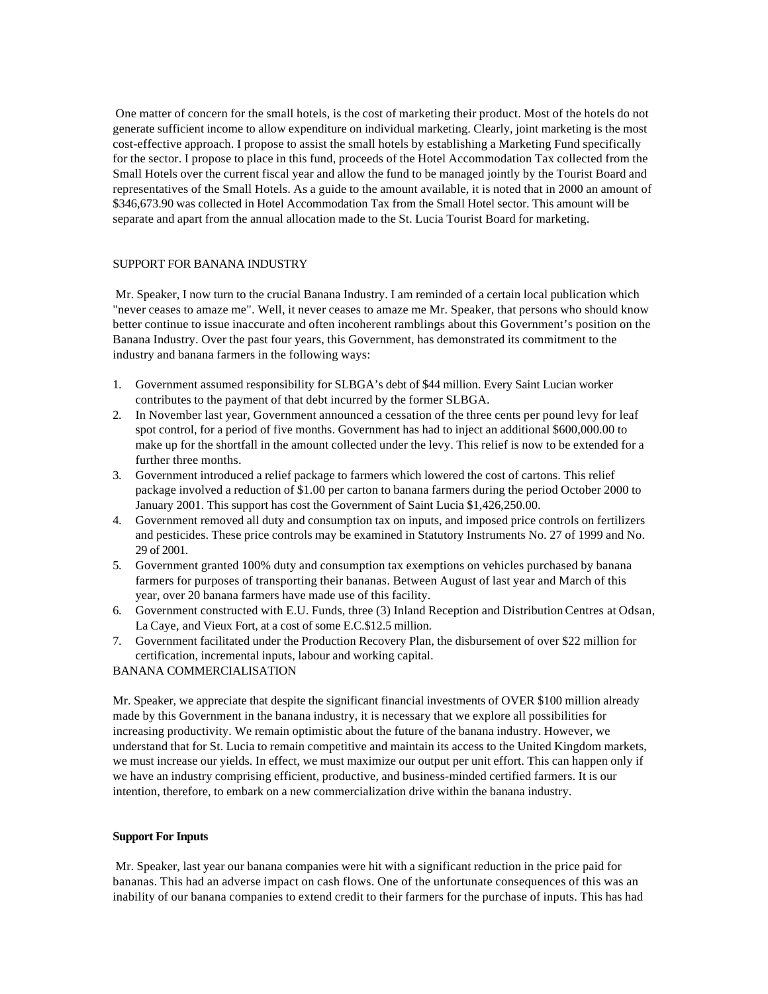One matter of concern for the small hotels, is the cost of marketing their product. Most of the hotels do not generate sufficient income to allow expenditure on individual marketing. Clearly, joint marketing is the most cost-effective approach. I propose to assist the small hotels by establishing a Marketing Fund specifically for the sector. I propose to place in this fund, proceeds of the Hotel Accommodation Tax collected from the Small Hotels over the current fiscal year and allow the fund to be managed jointly by the Tourist Board and representatives of the Small Hotels. As a guide to the amount available, it is noted that in 2000 an amount of \$346,673.90 was collected in Hotel Accommodation Tax from the Small Hotel sector. This amount will be separate and apart from the annual allocation made to the St. Lucia Tourist Board for marketing.

#### SUPPORT FOR BANANA INDUSTRY

 Mr. Speaker, I now turn to the crucial Banana Industry. I am reminded of a certain local publication which "never ceases to amaze me". Well, it never ceases to amaze me Mr. Speaker, that persons who should know better continue to issue inaccurate and often incoherent ramblings about this Government's position on the Banana Industry. Over the past four years, this Government, has demonstrated its commitment to the industry and banana farmers in the following ways:

- 1. Government assumed responsibility for SLBGA's debt of \$44 million. Every Saint Lucian worker contributes to the payment of that debt incurred by the former SLBGA.
- 2. In November last year, Government announced a cessation of the three cents per pound levy for leaf spot control, for a period of five months. Government has had to inject an additional \$600,000.00 to make up for the shortfall in the amount collected under the levy. This relief is now to be extended for a further three months.
- 3. Government introduced a relief package to farmers which lowered the cost of cartons. This relief package involved a reduction of \$1.00 per carton to banana farmers during the period October 2000 to January 2001. This support has cost the Government of Saint Lucia \$1,426,250.00.
- 4. Government removed all duty and consumption tax on inputs, and imposed price controls on fertilizers and pesticides. These price controls may be examined in Statutory Instruments No. 27 of 1999 and No. 29 of 2001.
- 5. Government granted 100% duty and consumption tax exemptions on vehicles purchased by banana farmers for purposes of transporting their bananas. Between August of last year and March of this year, over 20 banana farmers have made use of this facility.
- 6. Government constructed with E.U. Funds, three (3) Inland Reception and Distribution Centres at Odsan, La Caye, and Vieux Fort, at a cost of some E.C.\$12.5 million.
- 7. Government facilitated under the Production Recovery Plan, the disbursement of over \$22 million for certification, incremental inputs, labour and working capital.

BANANA COMMERCIALISATION

Mr. Speaker, we appreciate that despite the significant financial investments of OVER \$100 million already made by this Government in the banana industry, it is necessary that we explore all possibilities for increasing productivity. We remain optimistic about the future of the banana industry. However, we understand that for St. Lucia to remain competitive and maintain its access to the United Kingdom markets, we must increase our yields. In effect, we must maximize our output per unit effort. This can happen only if we have an industry comprising efficient, productive, and business-minded certified farmers. It is our intention, therefore, to embark on a new commercialization drive within the banana industry.

#### **Support For Inputs**

 Mr. Speaker, last year our banana companies were hit with a significant reduction in the price paid for bananas. This had an adverse impact on cash flows. One of the unfortunate consequences of this was an inability of our banana companies to extend credit to their farmers for the purchase of inputs. This has had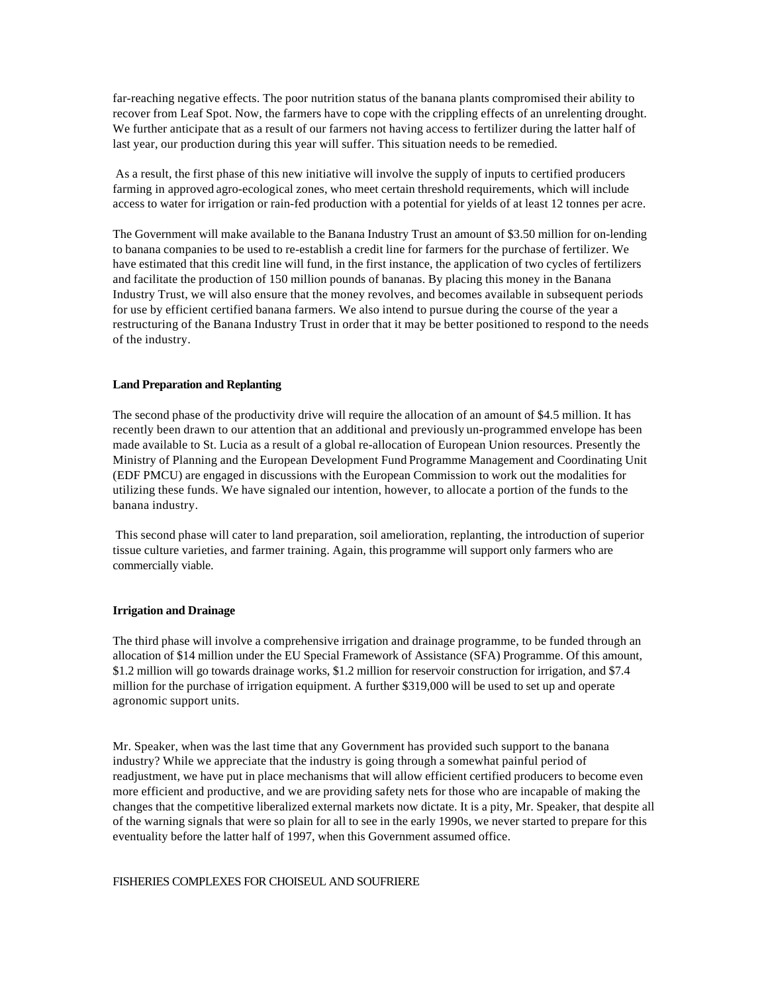far-reaching negative effects. The poor nutrition status of the banana plants compromised their ability to recover from Leaf Spot. Now, the farmers have to cope with the crippling effects of an unrelenting drought. We further anticipate that as a result of our farmers not having access to fertilizer during the latter half of last year, our production during this year will suffer. This situation needs to be remedied.

 As a result, the first phase of this new initiative will involve the supply of inputs to certified producers farming in approved agro-ecological zones, who meet certain threshold requirements, which will include access to water for irrigation or rain-fed production with a potential for yields of at least 12 tonnes per acre.

The Government will make available to the Banana Industry Trust an amount of \$3.50 million for on-lending to banana companies to be used to re-establish a credit line for farmers for the purchase of fertilizer. We have estimated that this credit line will fund, in the first instance, the application of two cycles of fertilizers and facilitate the production of 150 million pounds of bananas. By placing this money in the Banana Industry Trust, we will also ensure that the money revolves, and becomes available in subsequent periods for use by efficient certified banana farmers. We also intend to pursue during the course of the year a restructuring of the Banana Industry Trust in order that it may be better positioned to respond to the needs of the industry.

#### **Land Preparation and Replanting**

The second phase of the productivity drive will require the allocation of an amount of \$4.5 million. It has recently been drawn to our attention that an additional and previously un-programmed envelope has been made available to St. Lucia as a result of a global re-allocation of European Union resources. Presently the Ministry of Planning and the European Development Fund Programme Management and Coordinating Unit (EDF PMCU) are engaged in discussions with the European Commission to work out the modalities for utilizing these funds. We have signaled our intention, however, to allocate a portion of the funds to the banana industry.

 This second phase will cater to land preparation, soil amelioration, replanting, the introduction of superior tissue culture varieties, and farmer training. Again, this programme will support only farmers who are commercially viable.

#### **Irrigation and Drainage**

The third phase will involve a comprehensive irrigation and drainage programme, to be funded through an allocation of \$14 million under the EU Special Framework of Assistance (SFA) Programme. Of this amount, \$1.2 million will go towards drainage works, \$1.2 million for reservoir construction for irrigation, and \$7.4 million for the purchase of irrigation equipment. A further \$319,000 will be used to set up and operate agronomic support units.

Mr. Speaker, when was the last time that any Government has provided such support to the banana industry? While we appreciate that the industry is going through a somewhat painful period of readjustment, we have put in place mechanisms that will allow efficient certified producers to become even more efficient and productive, and we are providing safety nets for those who are incapable of making the changes that the competitive liberalized external markets now dictate. It is a pity, Mr. Speaker, that despite all of the warning signals that were so plain for all to see in the early 1990s, we never started to prepare for this eventuality before the latter half of 1997, when this Government assumed office.

#### FISHERIES COMPLEXES FOR CHOISEUL AND SOUFRIERE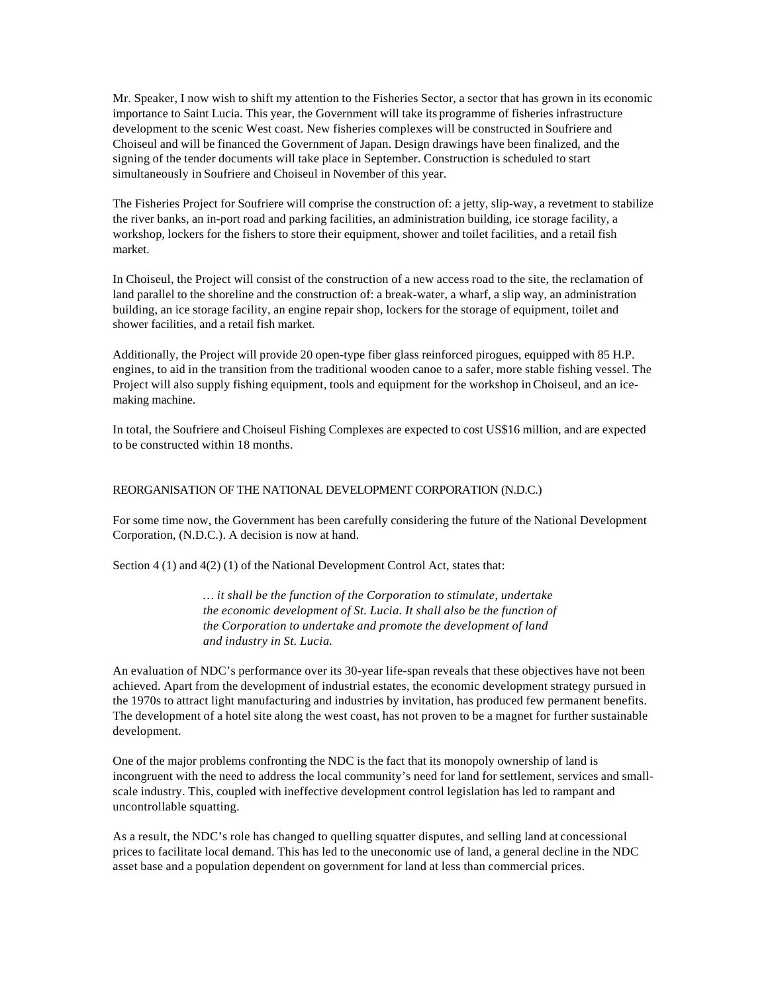Mr. Speaker, I now wish to shift my attention to the Fisheries Sector, a sector that has grown in its economic importance to Saint Lucia. This year, the Government will take its programme of fisheries infrastructure development to the scenic West coast. New fisheries complexes will be constructed in Soufriere and Choiseul and will be financed the Government of Japan. Design drawings have been finalized, and the signing of the tender documents will take place in September. Construction is scheduled to start simultaneously in Soufriere and Choiseul in November of this year.

The Fisheries Project for Soufriere will comprise the construction of: a jetty, slip-way, a revetment to stabilize the river banks, an in-port road and parking facilities, an administration building, ice storage facility, a workshop, lockers for the fishers to store their equipment, shower and toilet facilities, and a retail fish market.

In Choiseul, the Project will consist of the construction of a new access road to the site, the reclamation of land parallel to the shoreline and the construction of: a break-water, a wharf, a slip way, an administration building, an ice storage facility, an engine repair shop, lockers for the storage of equipment, toilet and shower facilities, and a retail fish market.

Additionally, the Project will provide 20 open-type fiber glass reinforced pirogues, equipped with 85 H.P. engines, to aid in the transition from the traditional wooden canoe to a safer, more stable fishing vessel. The Project will also supply fishing equipment, tools and equipment for the workshop in Choiseul, and an icemaking machine.

In total, the Soufriere and Choiseul Fishing Complexes are expected to cost US\$16 million, and are expected to be constructed within 18 months.

#### REORGANISATION OF THE NATIONAL DEVELOPMENT CORPORATION (N.D.C.)

For some time now, the Government has been carefully considering the future of the National Development Corporation, (N.D.C.). A decision is now at hand.

Section 4 (1) and 4(2) (1) of the National Development Control Act, states that:

*… it shall be the function of the Corporation to stimulate, undertake the economic development of St. Lucia. It shall also be the function of the Corporation to undertake and promote the development of land and industry in St. Lucia.*

An evaluation of NDC's performance over its 30-year life-span reveals that these objectives have not been achieved. Apart from the development of industrial estates, the economic development strategy pursued in the 1970s to attract light manufacturing and industries by invitation, has produced few permanent benefits. The development of a hotel site along the west coast, has not proven to be a magnet for further sustainable development.

One of the major problems confronting the NDC is the fact that its monopoly ownership of land is incongruent with the need to address the local community's need for land for settlement, services and smallscale industry. This, coupled with ineffective development control legislation has led to rampant and uncontrollable squatting.

As a result, the NDC's role has changed to quelling squatter disputes, and selling land at concessional prices to facilitate local demand. This has led to the uneconomic use of land, a general decline in the NDC asset base and a population dependent on government for land at less than commercial prices.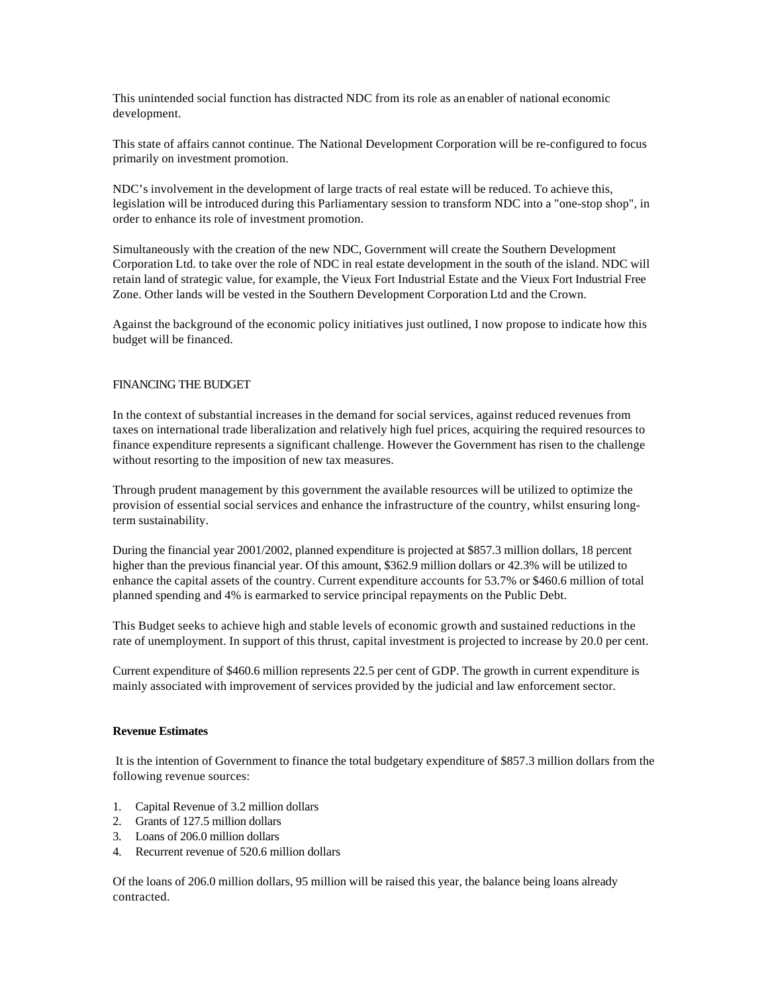This unintended social function has distracted NDC from its role as an enabler of national economic development.

This state of affairs cannot continue. The National Development Corporation will be re-configured to focus primarily on investment promotion.

NDC's involvement in the development of large tracts of real estate will be reduced. To achieve this, legislation will be introduced during this Parliamentary session to transform NDC into a "one-stop shop", in order to enhance its role of investment promotion.

Simultaneously with the creation of the new NDC, Government will create the Southern Development Corporation Ltd. to take over the role of NDC in real estate development in the south of the island. NDC will retain land of strategic value, for example, the Vieux Fort Industrial Estate and the Vieux Fort Industrial Free Zone. Other lands will be vested in the Southern Development Corporation Ltd and the Crown.

Against the background of the economic policy initiatives just outlined, I now propose to indicate how this budget will be financed.

#### FINANCING THE BUDGET

In the context of substantial increases in the demand for social services, against reduced revenues from taxes on international trade liberalization and relatively high fuel prices, acquiring the required resources to finance expenditure represents a significant challenge. However the Government has risen to the challenge without resorting to the imposition of new tax measures.

Through prudent management by this government the available resources will be utilized to optimize the provision of essential social services and enhance the infrastructure of the country, whilst ensuring longterm sustainability.

During the financial year 2001/2002, planned expenditure is projected at \$857.3 million dollars, 18 percent higher than the previous financial year. Of this amount, \$362.9 million dollars or 42.3% will be utilized to enhance the capital assets of the country. Current expenditure accounts for 53.7% or \$460.6 million of total planned spending and 4% is earmarked to service principal repayments on the Public Debt.

This Budget seeks to achieve high and stable levels of economic growth and sustained reductions in the rate of unemployment. In support of this thrust, capital investment is projected to increase by 20.0 per cent.

Current expenditure of \$460.6 million represents 22.5 per cent of GDP. The growth in current expenditure is mainly associated with improvement of services provided by the judicial and law enforcement sector.

#### **Revenue Estimates**

 It is the intention of Government to finance the total budgetary expenditure of \$857.3 million dollars from the following revenue sources:

- 1. Capital Revenue of 3.2 million dollars
- 2. Grants of 127.5 million dollars
- 3. Loans of 206.0 million dollars
- 4. Recurrent revenue of 520.6 million dollars

Of the loans of 206.0 million dollars, 95 million will be raised this year, the balance being loans already contracted.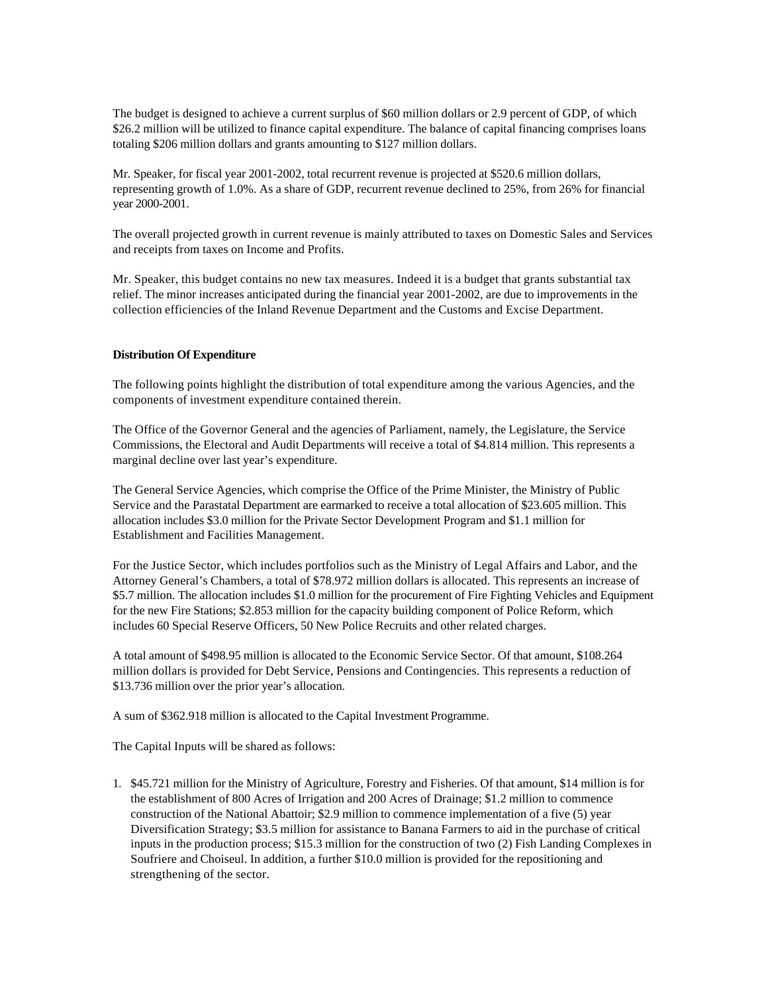The budget is designed to achieve a current surplus of \$60 million dollars or 2.9 percent of GDP, of which \$26.2 million will be utilized to finance capital expenditure. The balance of capital financing comprises loans totaling \$206 million dollars and grants amounting to \$127 million dollars.

Mr. Speaker, for fiscal year 2001-2002, total recurrent revenue is projected at \$520.6 million dollars, representing growth of 1.0%. As a share of GDP, recurrent revenue declined to 25%, from 26% for financial year 2000-2001.

The overall projected growth in current revenue is mainly attributed to taxes on Domestic Sales and Services and receipts from taxes on Income and Profits.

Mr. Speaker, this budget contains no new tax measures. Indeed it is a budget that grants substantial tax relief. The minor increases anticipated during the financial year 2001-2002, are due to improvements in the collection efficiencies of the Inland Revenue Department and the Customs and Excise Department.

#### **Distribution Of Expenditure**

The following points highlight the distribution of total expenditure among the various Agencies, and the components of investment expenditure contained therein.

The Office of the Governor General and the agencies of Parliament, namely, the Legislature, the Service Commissions, the Electoral and Audit Departments will receive a total of \$4.814 million. This represents a marginal decline over last year's expenditure.

The General Service Agencies, which comprise the Office of the Prime Minister, the Ministry of Public Service and the Parastatal Department are earmarked to receive a total allocation of \$23.605 million. This allocation includes \$3.0 million for the Private Sector Development Program and \$1.1 million for Establishment and Facilities Management.

For the Justice Sector, which includes portfolios such as the Ministry of Legal Affairs and Labor, and the Attorney General's Chambers, a total of \$78.972 million dollars is allocated. This represents an increase of \$5.7 million. The allocation includes \$1.0 million for the procurement of Fire Fighting Vehicles and Equipment for the new Fire Stations; \$2.853 million for the capacity building component of Police Reform, which includes 60 Special Reserve Officers, 50 New Police Recruits and other related charges.

A total amount of \$498.95 million is allocated to the Economic Service Sector. Of that amount, \$108.264 million dollars is provided for Debt Service, Pensions and Contingencies. This represents a reduction of \$13.736 million over the prior year's allocation.

A sum of \$362.918 million is allocated to the Capital Investment Programme.

The Capital Inputs will be shared as follows:

1. \$45.721 million for the Ministry of Agriculture, Forestry and Fisheries. Of that amount, \$14 million is for the establishment of 800 Acres of Irrigation and 200 Acres of Drainage; \$1.2 million to commence construction of the National Abattoir; \$2.9 million to commence implementation of a five (5) year Diversification Strategy; \$3.5 million for assistance to Banana Farmers to aid in the purchase of critical inputs in the production process; \$15.3 million for the construction of two (2) Fish Landing Complexes in Soufriere and Choiseul. In addition, a further \$10.0 million is provided for the repositioning and strengthening of the sector.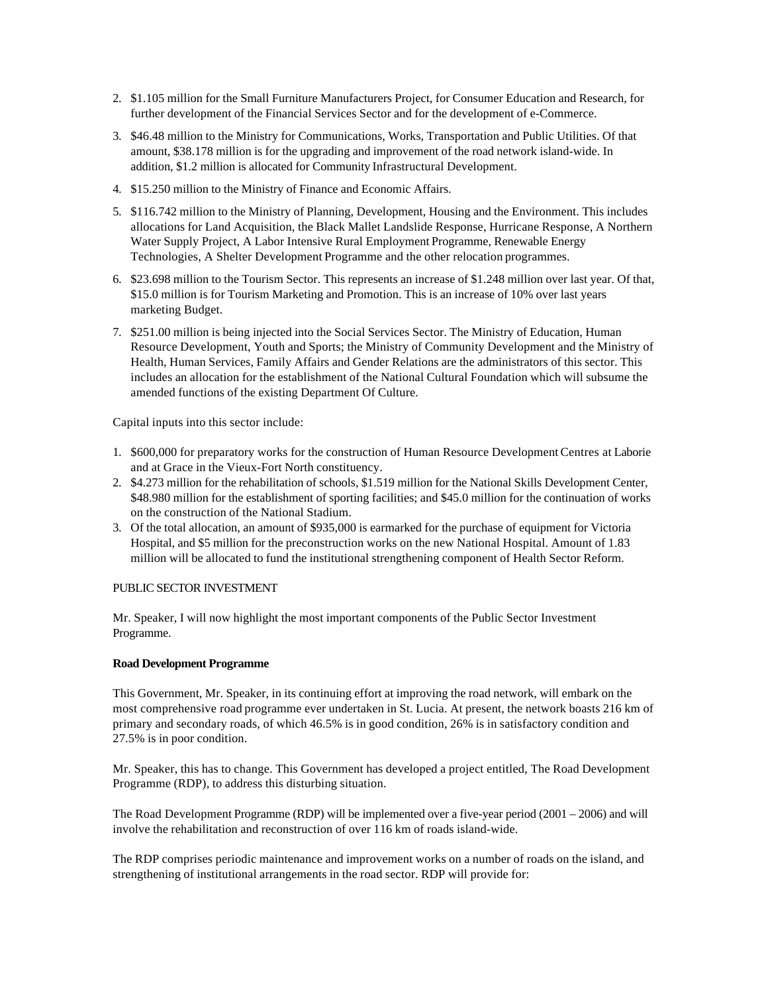- 2. \$1.105 million for the Small Furniture Manufacturers Project, for Consumer Education and Research, for further development of the Financial Services Sector and for the development of e-Commerce.
- 3. \$46.48 million to the Ministry for Communications, Works, Transportation and Public Utilities. Of that amount, \$38.178 million is for the upgrading and improvement of the road network island-wide. In addition, \$1.2 million is allocated for Community Infrastructural Development.
- 4. \$15.250 million to the Ministry of Finance and Economic Affairs.
- 5. \$116.742 million to the Ministry of Planning, Development, Housing and the Environment. This includes allocations for Land Acquisition, the Black Mallet Landslide Response, Hurricane Response, A Northern Water Supply Project, A Labor Intensive Rural Employment Programme, Renewable Energy Technologies, A Shelter Development Programme and the other relocation programmes.
- 6. \$23.698 million to the Tourism Sector. This represents an increase of \$1.248 million over last year. Of that, \$15.0 million is for Tourism Marketing and Promotion. This is an increase of 10% over last years marketing Budget.
- 7. \$251.00 million is being injected into the Social Services Sector. The Ministry of Education, Human Resource Development, Youth and Sports; the Ministry of Community Development and the Ministry of Health, Human Services, Family Affairs and Gender Relations are the administrators of this sector. This includes an allocation for the establishment of the National Cultural Foundation which will subsume the amended functions of the existing Department Of Culture.

Capital inputs into this sector include:

- 1. \$600,000 for preparatory works for the construction of Human Resource Development Centres at Laborie and at Grace in the Vieux-Fort North constituency.
- 2. \$4.273 million for the rehabilitation of schools, \$1.519 million for the National Skills Development Center, \$48.980 million for the establishment of sporting facilities; and \$45.0 million for the continuation of works on the construction of the National Stadium.
- 3. Of the total allocation, an amount of \$935,000 is earmarked for the purchase of equipment for Victoria Hospital, and \$5 million for the preconstruction works on the new National Hospital. Amount of 1.83 million will be allocated to fund the institutional strengthening component of Health Sector Reform.

# PUBLIC SECTOR INVESTMENT

Mr. Speaker, I will now highlight the most important components of the Public Sector Investment Programme.

### **Road Development Programme**

This Government, Mr. Speaker, in its continuing effort at improving the road network, will embark on the most comprehensive road programme ever undertaken in St. Lucia. At present, the network boasts 216 km of primary and secondary roads, of which 46.5% is in good condition, 26% is in satisfactory condition and 27.5% is in poor condition.

Mr. Speaker, this has to change. This Government has developed a project entitled, The Road Development Programme (RDP), to address this disturbing situation.

The Road Development Programme (RDP) will be implemented over a five-year period (2001 – 2006) and will involve the rehabilitation and reconstruction of over 116 km of roads island-wide.

The RDP comprises periodic maintenance and improvement works on a number of roads on the island, and strengthening of institutional arrangements in the road sector. RDP will provide for: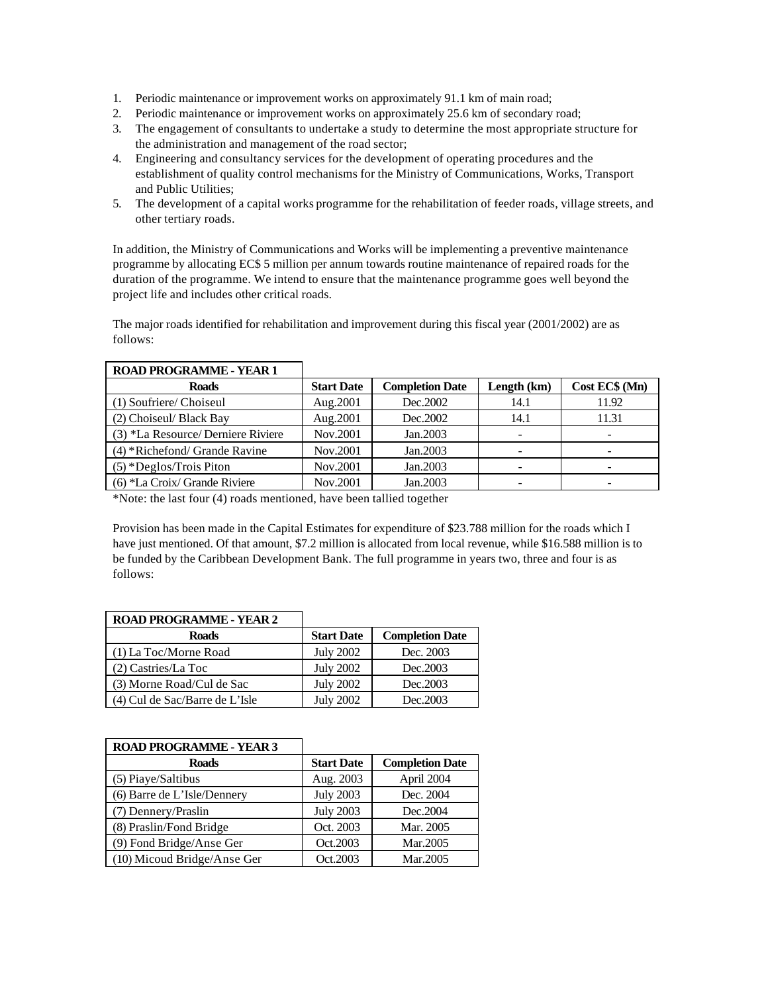- 1. Periodic maintenance or improvement works on approximately 91.1 km of main road;
- 2. Periodic maintenance or improvement works on approximately 25.6 km of secondary road;
- 3. The engagement of consultants to undertake a study to determine the most appropriate structure for the administration and management of the road sector;
- 4. Engineering and consultancy services for the development of operating procedures and the establishment of quality control mechanisms for the Ministry of Communications, Works, Transport and Public Utilities;
- 5. The development of a capital works programme for the rehabilitation of feeder roads, village streets, and other tertiary roads.

In addition, the Ministry of Communications and Works will be implementing a preventive maintenance programme by allocating EC\$ 5 million per annum towards routine maintenance of repaired roads for the duration of the programme. We intend to ensure that the maintenance programme goes well beyond the project life and includes other critical roads.

The major roads identified for rehabilitation and improvement during this fiscal year (2001/2002) are as follows:

| KVAD I KOMMANINIE - TEAK T        |                   |                        |             |                |
|-----------------------------------|-------------------|------------------------|-------------|----------------|
| <b>Roads</b>                      | <b>Start Date</b> | <b>Completion Date</b> | Length (km) | Cost EC\$ (Mn) |
| (1) Soufriere/ Choiseul           | Aug.2001          | Dec. 2002              | 14.1        | 11.92          |
| (2) Choiseul/ Black Bay           | Aug.2001          | Dec. 2002              | 14.1        | 11.31          |
| (3) *La Resource/Derniere Riviere | Nov.2001          | Jan.2003               |             |                |
| $(4)$ *Richefond/Grande Ravine    | Nov.2001          | Jan.2003               |             |                |
| $(5)$ *Deglos/Trois Piton         | Nov.2001          | Jan.2003               |             |                |
| $(6)$ *La Croix/Grande Riviere    | Nov.2001          | Jan.2003               |             |                |

#### **ROAD PROGRAMME - YEAR 1** ٦

\*Note: the last four (4) roads mentioned, have been tallied together

Provision has been made in the Capital Estimates for expenditure of \$23.788 million for the roads which I have just mentioned. Of that amount, \$7.2 million is allocated from local revenue, while \$16.588 million is to be funded by the Caribbean Development Bank. The full programme in years two, three and four is as follows:

| ROAD PROGRAMME - YEAR 2        |                   |                        |
|--------------------------------|-------------------|------------------------|
| <b>Roads</b>                   | <b>Start Date</b> | <b>Completion Date</b> |
| (1) La Toc/Morne Road          | <b>July 2002</b>  | Dec. 2003              |
| (2) Castries/La Toc            | <b>July 2002</b>  | Dec.2003               |
| (3) Morne Road/Cul de Sac      | <b>July 2002</b>  | Dec.2003               |
| (4) Cul de Sac/Barre de L'Isle | <b>July 2002</b>  | Dec. 2003              |

# **ROAD PROGRAMME** VEAR 2

| <b>ROAD PROGRAMME - YEAR 3</b> |                   |                        |
|--------------------------------|-------------------|------------------------|
| <b>Roads</b>                   | <b>Start Date</b> | <b>Completion Date</b> |
| (5) Piaye/Saltibus             | Aug. 2003         | April 2004             |
| (6) Barre de L'Isle/Dennery    | <b>July 2003</b>  | Dec. 2004              |
| (7) Dennery/Praslin            | <b>July 2003</b>  | Dec.2004               |
| (8) Praslin/Fond Bridge        | Oct. 2003         | Mar. 2005              |
| (9) Fond Bridge/Anse Ger       | Oct.2003          | Mar.2005               |
| (10) Micoud Bridge/Anse Ger    | Oct.2003          | Mar.2005               |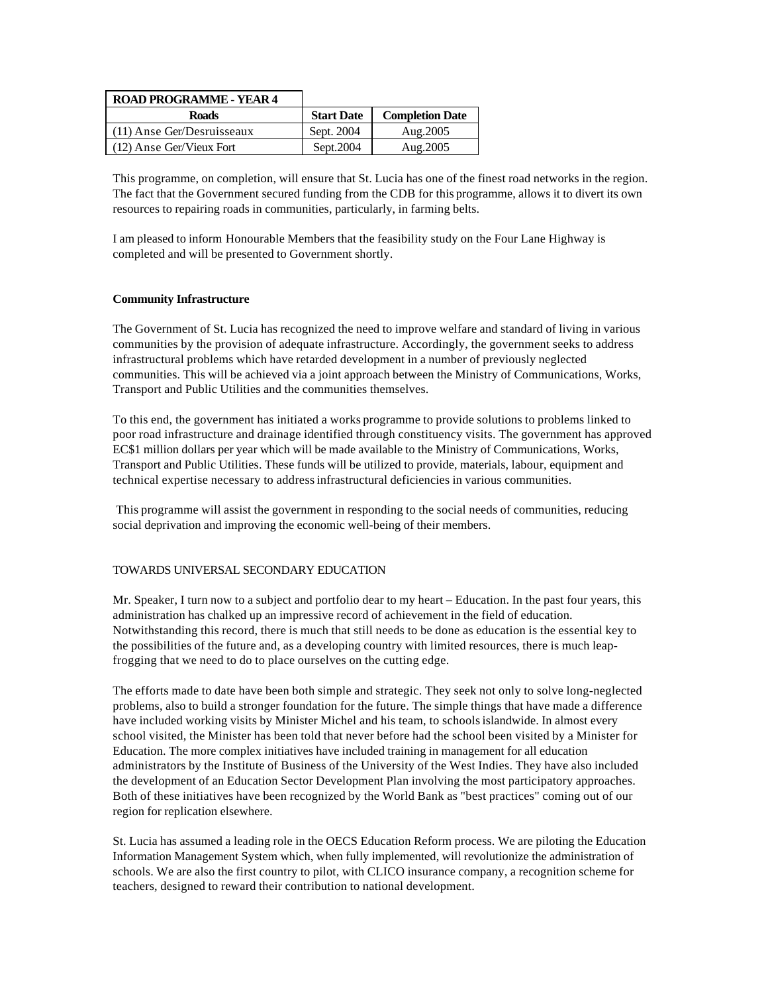| <b>ROAD PROGRAMME - YEAR 4</b> |                   |                        |
|--------------------------------|-------------------|------------------------|
| <b>Roads</b>                   | <b>Start Date</b> | <b>Completion Date</b> |
| (11) Anse Ger/Desruisseaux     | Sept. 2004        | Aug. 2005              |
| (12) Anse Ger/Vieux Fort       | Sept. 2004        | Aug. 2005              |

This programme, on completion, will ensure that St. Lucia has one of the finest road networks in the region. The fact that the Government secured funding from the CDB for this programme, allows it to divert its own resources to repairing roads in communities, particularly, in farming belts.

I am pleased to inform Honourable Members that the feasibility study on the Four Lane Highway is completed and will be presented to Government shortly.

# **Community Infrastructure**

The Government of St. Lucia has recognized the need to improve welfare and standard of living in various communities by the provision of adequate infrastructure. Accordingly, the government seeks to address infrastructural problems which have retarded development in a number of previously neglected communities. This will be achieved via a joint approach between the Ministry of Communications, Works, Transport and Public Utilities and the communities themselves.

To this end, the government has initiated a works programme to provide solutions to problems linked to poor road infrastructure and drainage identified through constituency visits. The government has approved EC\$1 million dollars per year which will be made available to the Ministry of Communications, Works, Transport and Public Utilities. These funds will be utilized to provide, materials, labour, equipment and technical expertise necessary to address infrastructural deficiencies in various communities.

 This programme will assist the government in responding to the social needs of communities, reducing social deprivation and improving the economic well-being of their members.

# TOWARDS UNIVERSAL SECONDARY EDUCATION

Mr. Speaker, I turn now to a subject and portfolio dear to my heart – Education. In the past four years, this administration has chalked up an impressive record of achievement in the field of education. Notwithstanding this record, there is much that still needs to be done as education is the essential key to the possibilities of the future and, as a developing country with limited resources, there is much leapfrogging that we need to do to place ourselves on the cutting edge.

The efforts made to date have been both simple and strategic. They seek not only to solve long-neglected problems, also to build a stronger foundation for the future. The simple things that have made a difference have included working visits by Minister Michel and his team, to schools islandwide. In almost every school visited, the Minister has been told that never before had the school been visited by a Minister for Education. The more complex initiatives have included training in management for all education administrators by the Institute of Business of the University of the West Indies. They have also included the development of an Education Sector Development Plan involving the most participatory approaches. Both of these initiatives have been recognized by the World Bank as "best practices" coming out of our region for replication elsewhere.

St. Lucia has assumed a leading role in the OECS Education Reform process. We are piloting the Education Information Management System which, when fully implemented, will revolutionize the administration of schools. We are also the first country to pilot, with CLICO insurance company, a recognition scheme for teachers, designed to reward their contribution to national development.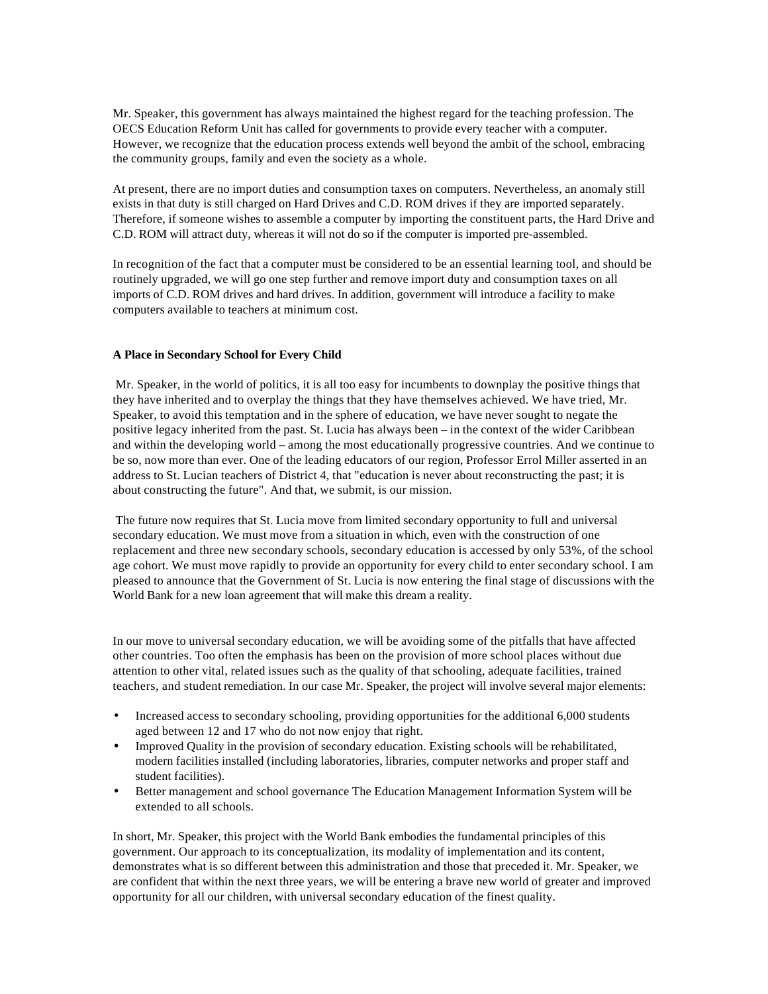Mr. Speaker, this government has always maintained the highest regard for the teaching profession. The OECS Education Reform Unit has called for governments to provide every teacher with a computer. However, we recognize that the education process extends well beyond the ambit of the school, embracing the community groups, family and even the society as a whole.

At present, there are no import duties and consumption taxes on computers. Nevertheless, an anomaly still exists in that duty is still charged on Hard Drives and C.D. ROM drives if they are imported separately. Therefore, if someone wishes to assemble a computer by importing the constituent parts, the Hard Drive and C.D. ROM will attract duty, whereas it will not do so if the computer is imported pre-assembled.

In recognition of the fact that a computer must be considered to be an essential learning tool, and should be routinely upgraded, we will go one step further and remove import duty and consumption taxes on all imports of C.D. ROM drives and hard drives. In addition, government will introduce a facility to make computers available to teachers at minimum cost.

# **A Place in Secondary School for Every Child**

 Mr. Speaker, in the world of politics, it is all too easy for incumbents to downplay the positive things that they have inherited and to overplay the things that they have themselves achieved. We have tried, Mr. Speaker, to avoid this temptation and in the sphere of education, we have never sought to negate the positive legacy inherited from the past. St. Lucia has always been – in the context of the wider Caribbean and within the developing world – among the most educationally progressive countries. And we continue to be so, now more than ever. One of the leading educators of our region, Professor Errol Miller asserted in an address to St. Lucian teachers of District 4, that "education is never about reconstructing the past; it is about constructing the future". And that, we submit, is our mission.

 The future now requires that St. Lucia move from limited secondary opportunity to full and universal secondary education. We must move from a situation in which, even with the construction of one replacement and three new secondary schools, secondary education is accessed by only 53%, of the school age cohort. We must move rapidly to provide an opportunity for every child to enter secondary school. I am pleased to announce that the Government of St. Lucia is now entering the final stage of discussions with the World Bank for a new loan agreement that will make this dream a reality.

In our move to universal secondary education, we will be avoiding some of the pitfalls that have affected other countries. Too often the emphasis has been on the provision of more school places without due attention to other vital, related issues such as the quality of that schooling, adequate facilities, trained teachers, and student remediation. In our case Mr. Speaker, the project will involve several major elements:

- Increased access to secondary schooling, providing opportunities for the additional 6,000 students aged between 12 and 17 who do not now enjoy that right.
- Improved Quality in the provision of secondary education. Existing schools will be rehabilitated, modern facilities installed (including laboratories, libraries, computer networks and proper staff and student facilities).
- Better management and school governance The Education Management Information System will be extended to all schools.

In short, Mr. Speaker, this project with the World Bank embodies the fundamental principles of this government. Our approach to its conceptualization, its modality of implementation and its content, demonstrates what is so different between this administration and those that preceded it. Mr. Speaker, we are confident that within the next three years, we will be entering a brave new world of greater and improved opportunity for all our children, with universal secondary education of the finest quality.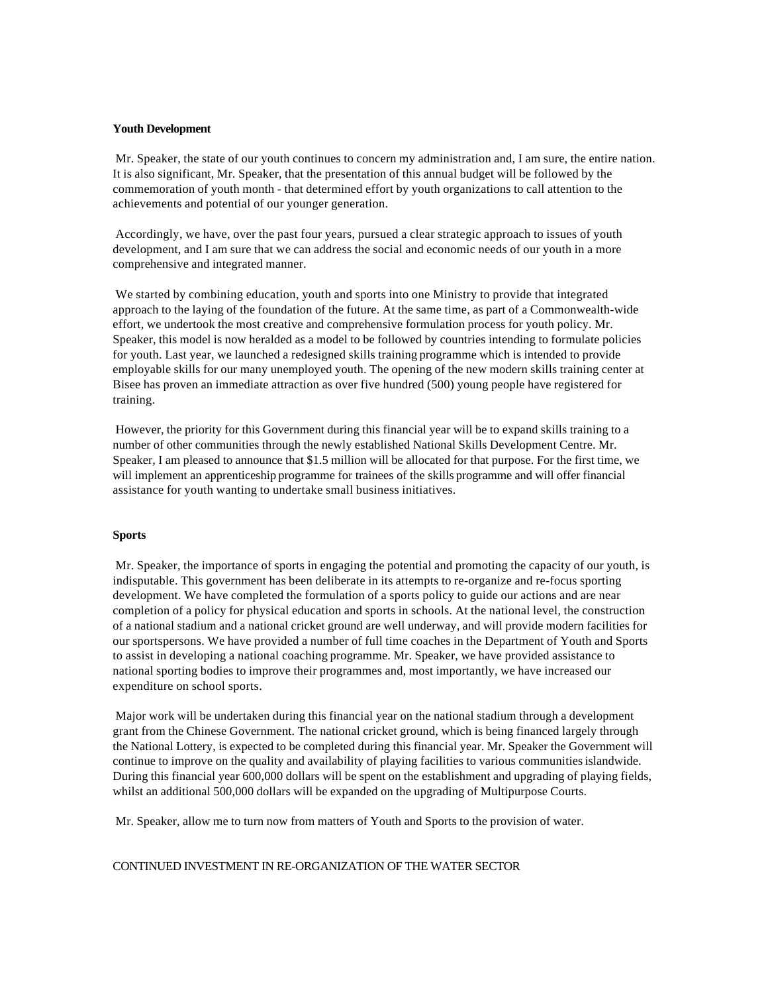#### **Youth Development**

 Mr. Speaker, the state of our youth continues to concern my administration and, I am sure, the entire nation. It is also significant, Mr. Speaker, that the presentation of this annual budget will be followed by the commemoration of youth month - that determined effort by youth organizations to call attention to the achievements and potential of our younger generation.

 Accordingly, we have, over the past four years, pursued a clear strategic approach to issues of youth development, and I am sure that we can address the social and economic needs of our youth in a more comprehensive and integrated manner.

 We started by combining education, youth and sports into one Ministry to provide that integrated approach to the laying of the foundation of the future. At the same time, as part of a Commonwealth-wide effort, we undertook the most creative and comprehensive formulation process for youth policy. Mr. Speaker, this model is now heralded as a model to be followed by countries intending to formulate policies for youth. Last year, we launched a redesigned skills training programme which is intended to provide employable skills for our many unemployed youth. The opening of the new modern skills training center at Bisee has proven an immediate attraction as over five hundred (500) young people have registered for training.

 However, the priority for this Government during this financial year will be to expand skills training to a number of other communities through the newly established National Skills Development Centre. Mr. Speaker, I am pleased to announce that \$1.5 million will be allocated for that purpose. For the first time, we will implement an apprenticeship programme for trainees of the skills programme and will offer financial assistance for youth wanting to undertake small business initiatives.

#### **Sports**

 Mr. Speaker, the importance of sports in engaging the potential and promoting the capacity of our youth, is indisputable. This government has been deliberate in its attempts to re-organize and re-focus sporting development. We have completed the formulation of a sports policy to guide our actions and are near completion of a policy for physical education and sports in schools. At the national level, the construction of a national stadium and a national cricket ground are well underway, and will provide modern facilities for our sportspersons. We have provided a number of full time coaches in the Department of Youth and Sports to assist in developing a national coaching programme. Mr. Speaker, we have provided assistance to national sporting bodies to improve their programmes and, most importantly, we have increased our expenditure on school sports.

 Major work will be undertaken during this financial year on the national stadium through a development grant from the Chinese Government. The national cricket ground, which is being financed largely through the National Lottery, is expected to be completed during this financial year. Mr. Speaker the Government will continue to improve on the quality and availability of playing facilities to various communities islandwide. During this financial year 600,000 dollars will be spent on the establishment and upgrading of playing fields, whilst an additional 500,000 dollars will be expanded on the upgrading of Multipurpose Courts.

Mr. Speaker, allow me to turn now from matters of Youth and Sports to the provision of water.

CONTINUED INVESTMENT IN RE-ORGANIZATION OF THE WATER SECTOR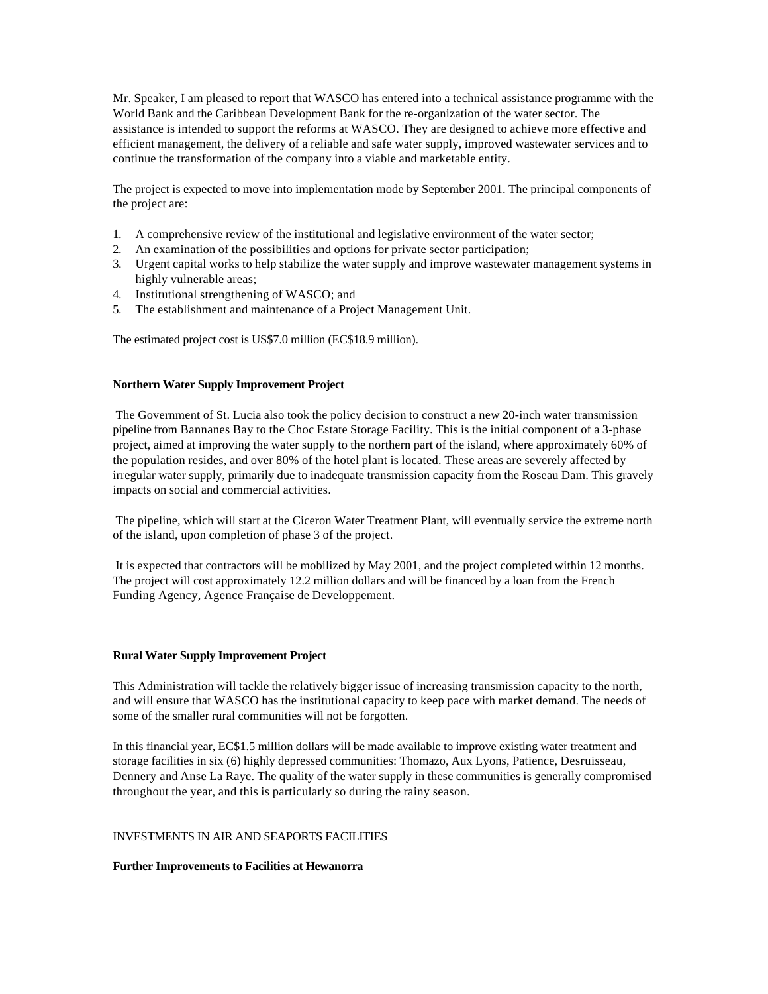Mr. Speaker, I am pleased to report that WASCO has entered into a technical assistance programme with the World Bank and the Caribbean Development Bank for the re-organization of the water sector. The assistance is intended to support the reforms at WASCO. They are designed to achieve more effective and efficient management, the delivery of a reliable and safe water supply, improved wastewater services and to continue the transformation of the company into a viable and marketable entity.

The project is expected to move into implementation mode by September 2001. The principal components of the project are:

- 1. A comprehensive review of the institutional and legislative environment of the water sector;
- 2. An examination of the possibilities and options for private sector participation;
- 3. Urgent capital works to help stabilize the water supply and improve wastewater management systems in highly vulnerable areas;
- 4. Institutional strengthening of WASCO; and
- 5. The establishment and maintenance of a Project Management Unit.

The estimated project cost is US\$7.0 million (EC\$18.9 million).

#### **Northern Water Supply Improvement Project**

 The Government of St. Lucia also took the policy decision to construct a new 20-inch water transmission pipeline from Bannanes Bay to the Choc Estate Storage Facility. This is the initial component of a 3-phase project, aimed at improving the water supply to the northern part of the island, where approximately 60% of the population resides, and over 80% of the hotel plant is located. These areas are severely affected by irregular water supply, primarily due to inadequate transmission capacity from the Roseau Dam. This gravely impacts on social and commercial activities.

 The pipeline, which will start at the Ciceron Water Treatment Plant, will eventually service the extreme north of the island, upon completion of phase 3 of the project.

 It is expected that contractors will be mobilized by May 2001, and the project completed within 12 months. The project will cost approximately 12.2 million dollars and will be financed by a loan from the French Funding Agency, Agence Française de Developpement.

#### **Rural Water Supply Improvement Project**

This Administration will tackle the relatively bigger issue of increasing transmission capacity to the north, and will ensure that WASCO has the institutional capacity to keep pace with market demand. The needs of some of the smaller rural communities will not be forgotten.

In this financial year, EC\$1.5 million dollars will be made available to improve existing water treatment and storage facilities in six (6) highly depressed communities: Thomazo, Aux Lyons, Patience, Desruisseau, Dennery and Anse La Raye. The quality of the water supply in these communities is generally compromised throughout the year, and this is particularly so during the rainy season.

# INVESTMENTS IN AIR AND SEAPORTS FACILITIES

#### **Further Improvements to Facilities at Hewanorra**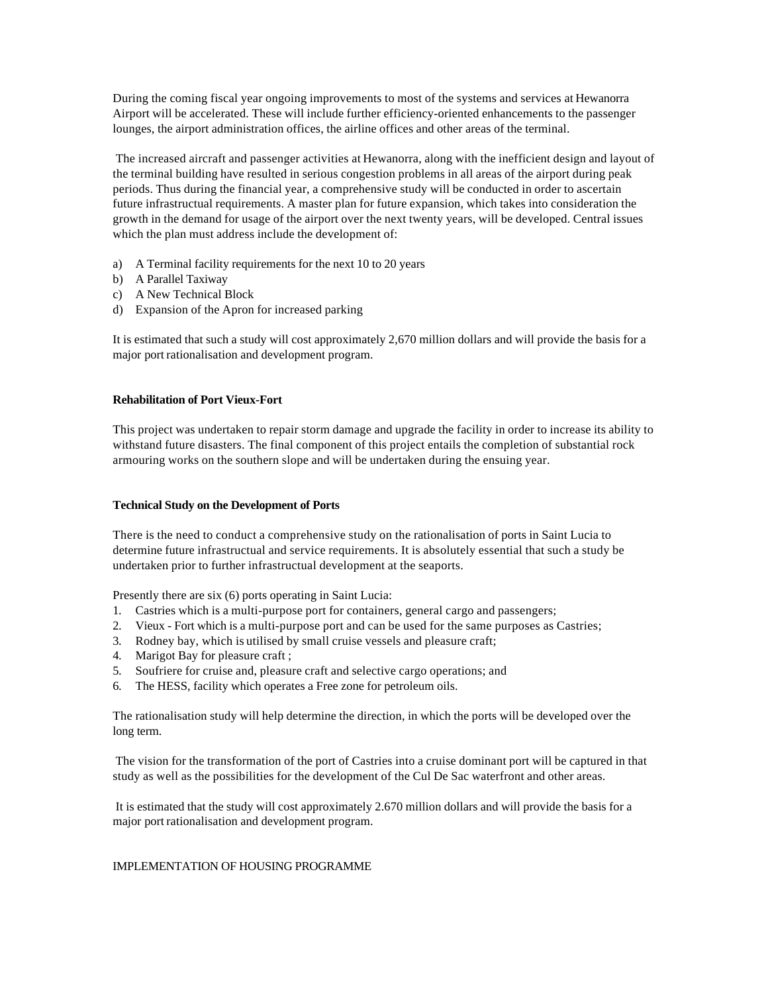During the coming fiscal year ongoing improvements to most of the systems and services at Hewanorra Airport will be accelerated. These will include further efficiency-oriented enhancements to the passenger lounges, the airport administration offices, the airline offices and other areas of the terminal.

 The increased aircraft and passenger activities at Hewanorra, along with the inefficient design and layout of the terminal building have resulted in serious congestion problems in all areas of the airport during peak periods. Thus during the financial year, a comprehensive study will be conducted in order to ascertain future infrastructual requirements. A master plan for future expansion, which takes into consideration the growth in the demand for usage of the airport over the next twenty years, will be developed. Central issues which the plan must address include the development of:

- a) A Terminal facility requirements for the next 10 to 20 years
- b) A Parallel Taxiway
- c) A New Technical Block
- d) Expansion of the Apron for increased parking

It is estimated that such a study will cost approximately 2,670 million dollars and will provide the basis for a major port rationalisation and development program.

# **Rehabilitation of Port Vieux-Fort**

This project was undertaken to repair storm damage and upgrade the facility in order to increase its ability to withstand future disasters. The final component of this project entails the completion of substantial rock armouring works on the southern slope and will be undertaken during the ensuing year.

# **Technical Study on the Development of Ports**

There is the need to conduct a comprehensive study on the rationalisation of ports in Saint Lucia to determine future infrastructual and service requirements. It is absolutely essential that such a study be undertaken prior to further infrastructual development at the seaports.

Presently there are six (6) ports operating in Saint Lucia:

- 1. Castries which is a multi-purpose port for containers, general cargo and passengers;
- 2. Vieux Fort which is a multi-purpose port and can be used for the same purposes as Castries;
- 3. Rodney bay, which is utilised by small cruise vessels and pleasure craft;
- 4. Marigot Bay for pleasure craft ;
- 5. Soufriere for cruise and, pleasure craft and selective cargo operations; and
- 6. The HESS, facility which operates a Free zone for petroleum oils.

The rationalisation study will help determine the direction, in which the ports will be developed over the long term.

 The vision for the transformation of the port of Castries into a cruise dominant port will be captured in that study as well as the possibilities for the development of the Cul De Sac waterfront and other areas.

 It is estimated that the study will cost approximately 2.670 million dollars and will provide the basis for a major port rationalisation and development program.

# IMPLEMENTATION OF HOUSING PROGRAMME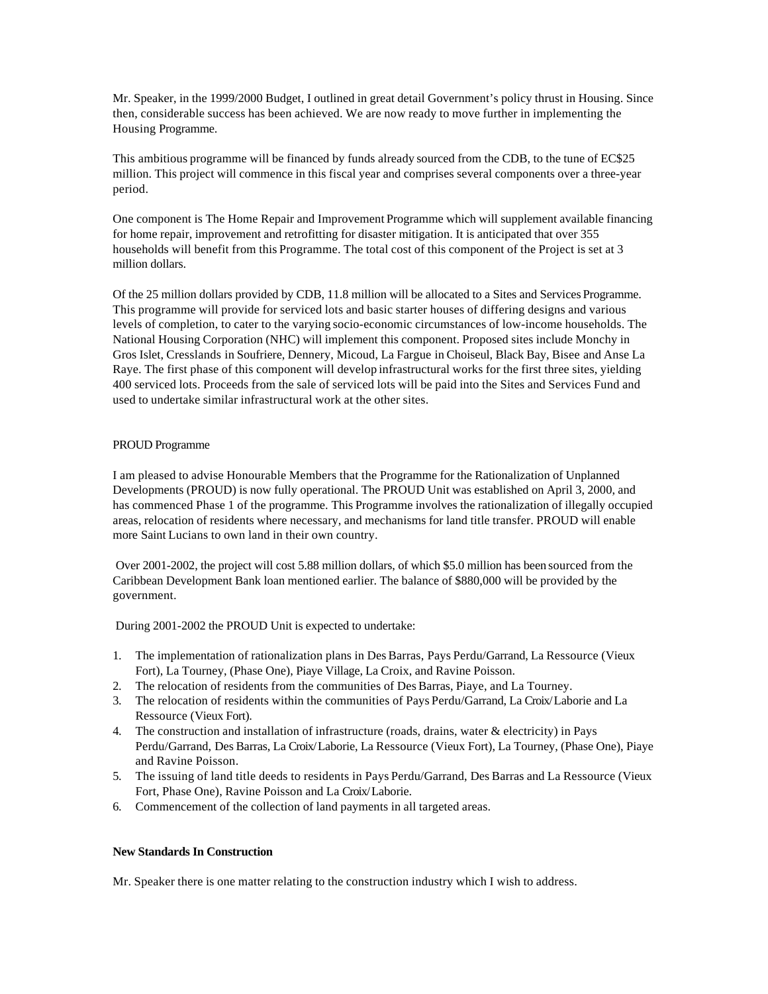Mr. Speaker, in the 1999/2000 Budget, I outlined in great detail Government's policy thrust in Housing. Since then, considerable success has been achieved. We are now ready to move further in implementing the Housing Programme.

This ambitious programme will be financed by funds already sourced from the CDB, to the tune of EC\$25 million. This project will commence in this fiscal year and comprises several components over a three-year period.

One component is The Home Repair and Improvement Programme which will supplement available financing for home repair, improvement and retrofitting for disaster mitigation. It is anticipated that over 355 households will benefit from this Programme. The total cost of this component of the Project is set at 3 million dollars.

Of the 25 million dollars provided by CDB, 11.8 million will be allocated to a Sites and Services Programme. This programme will provide for serviced lots and basic starter houses of differing designs and various levels of completion, to cater to the varying socio-economic circumstances of low-income households. The National Housing Corporation (NHC) will implement this component. Proposed sites include Monchy in Gros Islet, Cresslands in Soufriere, Dennery, Micoud, La Fargue in Choiseul, Black Bay, Bisee and Anse La Raye. The first phase of this component will develop infrastructural works for the first three sites, yielding 400 serviced lots. Proceeds from the sale of serviced lots will be paid into the Sites and Services Fund and used to undertake similar infrastructural work at the other sites.

# PROUD Programme

I am pleased to advise Honourable Members that the Programme for the Rationalization of Unplanned Developments (PROUD) is now fully operational. The PROUD Unit was established on April 3, 2000, and has commenced Phase 1 of the programme. This Programme involves the rationalization of illegally occupied areas, relocation of residents where necessary, and mechanisms for land title transfer. PROUD will enable more Saint Lucians to own land in their own country.

 Over 2001-2002, the project will cost 5.88 million dollars, of which \$5.0 million has been sourced from the Caribbean Development Bank loan mentioned earlier. The balance of \$880,000 will be provided by the government.

During 2001-2002 the PROUD Unit is expected to undertake:

- 1. The implementation of rationalization plans in Des Barras, Pays Perdu/Garrand, La Ressource (Vieux Fort), La Tourney, (Phase One), Piaye Village, La Croix, and Ravine Poisson.
- 2. The relocation of residents from the communities of Des Barras, Piaye, and La Tourney.
- 3. The relocation of residents within the communities of Pays Perdu/Garrand, La Croix/Laborie and La Ressource (Vieux Fort).
- 4. The construction and installation of infrastructure (roads, drains, water & electricity) in Pays Perdu/Garrand, Des Barras, La Croix/Laborie, La Ressource (Vieux Fort), La Tourney, (Phase One), Piaye and Ravine Poisson.
- 5. The issuing of land title deeds to residents in Pays Perdu/Garrand, Des Barras and La Ressource (Vieux Fort, Phase One), Ravine Poisson and La Croix/Laborie.
- 6. Commencement of the collection of land payments in all targeted areas.

#### **New Standards In Construction**

Mr. Speaker there is one matter relating to the construction industry which I wish to address.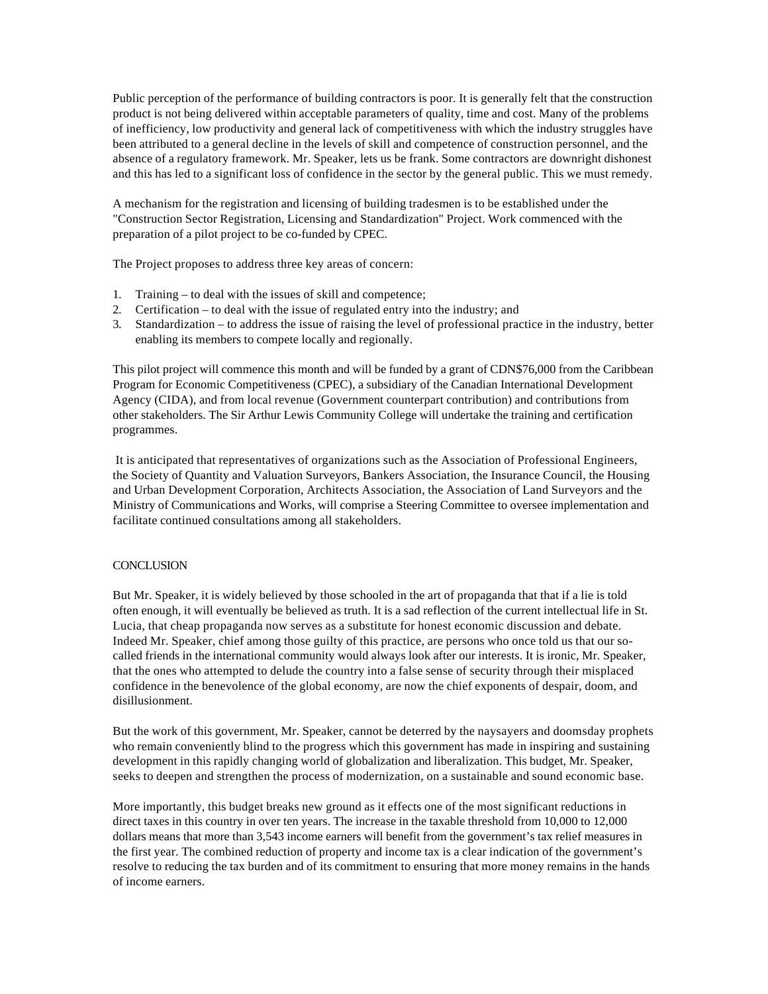Public perception of the performance of building contractors is poor. It is generally felt that the construction product is not being delivered within acceptable parameters of quality, time and cost. Many of the problems of inefficiency, low productivity and general lack of competitiveness with which the industry struggles have been attributed to a general decline in the levels of skill and competence of construction personnel, and the absence of a regulatory framework. Mr. Speaker, lets us be frank. Some contractors are downright dishonest and this has led to a significant loss of confidence in the sector by the general public. This we must remedy.

A mechanism for the registration and licensing of building tradesmen is to be established under the "Construction Sector Registration, Licensing and Standardization" Project. Work commenced with the preparation of a pilot project to be co-funded by CPEC.

The Project proposes to address three key areas of concern:

- 1. Training to deal with the issues of skill and competence;
- 2. Certification to deal with the issue of regulated entry into the industry; and
- 3. Standardization to address the issue of raising the level of professional practice in the industry, better enabling its members to compete locally and regionally.

This pilot project will commence this month and will be funded by a grant of CDN\$76,000 from the Caribbean Program for Economic Competitiveness (CPEC), a subsidiary of the Canadian International Development Agency (CIDA), and from local revenue (Government counterpart contribution) and contributions from other stakeholders. The Sir Arthur Lewis Community College will undertake the training and certification programmes.

 It is anticipated that representatives of organizations such as the Association of Professional Engineers, the Society of Quantity and Valuation Surveyors, Bankers Association, the Insurance Council, the Housing and Urban Development Corporation, Architects Association, the Association of Land Surveyors and the Ministry of Communications and Works, will comprise a Steering Committee to oversee implementation and facilitate continued consultations among all stakeholders.

#### **CONCLUSION**

But Mr. Speaker, it is widely believed by those schooled in the art of propaganda that that if a lie is told often enough, it will eventually be believed as truth. It is a sad reflection of the current intellectual life in St. Lucia, that cheap propaganda now serves as a substitute for honest economic discussion and debate. Indeed Mr. Speaker, chief among those guilty of this practice, are persons who once told us that our socalled friends in the international community would always look after our interests. It is ironic, Mr. Speaker, that the ones who attempted to delude the country into a false sense of security through their misplaced confidence in the benevolence of the global economy, are now the chief exponents of despair, doom, and disillusionment.

But the work of this government, Mr. Speaker, cannot be deterred by the naysayers and doomsday prophets who remain conveniently blind to the progress which this government has made in inspiring and sustaining development in this rapidly changing world of globalization and liberalization. This budget, Mr. Speaker, seeks to deepen and strengthen the process of modernization, on a sustainable and sound economic base.

More importantly, this budget breaks new ground as it effects one of the most significant reductions in direct taxes in this country in over ten years. The increase in the taxable threshold from 10,000 to 12,000 dollars means that more than 3,543 income earners will benefit from the government's tax relief measures in the first year. The combined reduction of property and income tax is a clear indication of the government's resolve to reducing the tax burden and of its commitment to ensuring that more money remains in the hands of income earners.